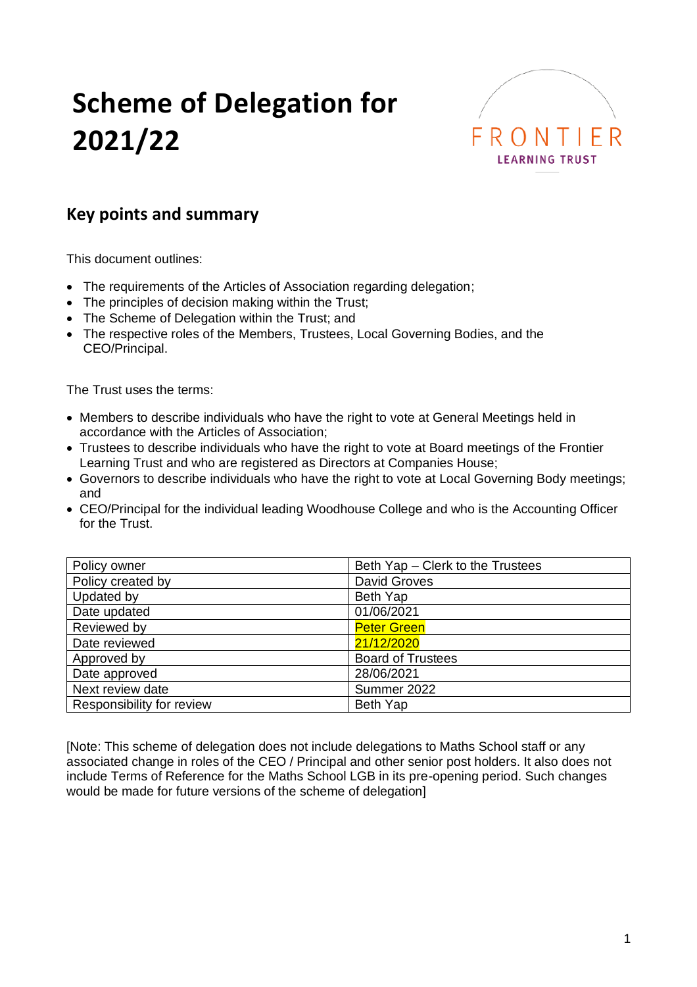# **Scheme of Delegation for 2021/22**



# **Key points and summary**

This document outlines:

- The requirements of the Articles of Association regarding delegation;
- The principles of decision making within the Trust;
- The Scheme of Delegation within the Trust; and
- The respective roles of the Members, Trustees, Local Governing Bodies, and the CEO/Principal.

The Trust uses the terms:

- Members to describe individuals who have the right to vote at General Meetings held in accordance with the Articles of Association;
- Trustees to describe individuals who have the right to vote at Board meetings of the Frontier Learning Trust and who are registered as Directors at Companies House;
- Governors to describe individuals who have the right to vote at Local Governing Body meetings; and
- CEO/Principal for the individual leading Woodhouse College and who is the Accounting Officer for the Trust.

| Policy owner              | Beth Yap - Clerk to the Trustees |
|---------------------------|----------------------------------|
| Policy created by         | David Groves                     |
| Updated by                | Beth Yap                         |
| Date updated              | 01/06/2021                       |
| Reviewed by               | <b>Peter Green</b>               |
| Date reviewed             | 21/12/2020                       |
| Approved by               | <b>Board of Trustees</b>         |
| Date approved             | 28/06/2021                       |
| Next review date          | Summer 2022                      |
| Responsibility for review | Beth Yap                         |

[Note: This scheme of delegation does not include delegations to Maths School staff or any associated change in roles of the CEO / Principal and other senior post holders. It also does not include Terms of Reference for the Maths School LGB in its pre-opening period. Such changes would be made for future versions of the scheme of delegation]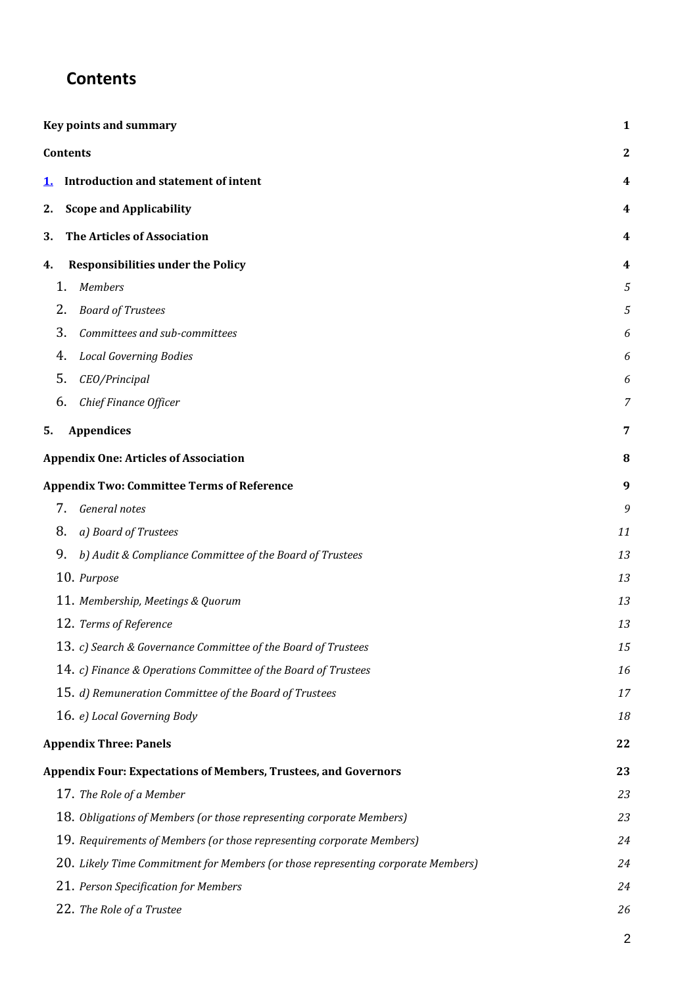# **Contents**

|           | Key points and summary                                                           | $\mathbf{1}$   |
|-----------|----------------------------------------------------------------------------------|----------------|
|           | Contents                                                                         | $\mathbf{2}$   |
| <u>1.</u> | Introduction and statement of intent                                             | 4              |
| 2.        | <b>Scope and Applicability</b>                                                   | 4              |
| 3.        | <b>The Articles of Association</b>                                               | 4              |
| 4.        | <b>Responsibilities under the Policy</b>                                         | 4              |
| 1.        | <b>Members</b>                                                                   | 5              |
| 2.        | <b>Board of Trustees</b>                                                         | 5              |
| 3.        | Committees and sub-committees                                                    | 6              |
| 4.        | <b>Local Governing Bodies</b>                                                    | 6              |
| 5.        | CEO/Principal                                                                    | 6              |
| 6.        | Chief Finance Officer                                                            | 7              |
| 5.        | <b>Appendices</b>                                                                | 7              |
|           |                                                                                  |                |
|           | <b>Appendix One: Articles of Association</b>                                     | 8              |
|           | <b>Appendix Two: Committee Terms of Reference</b>                                | 9              |
| 7.        | General notes                                                                    | 9              |
| 8.        | a) Board of Trustees                                                             | 11             |
| 9.        | b) Audit & Compliance Committee of the Board of Trustees                         | 13             |
|           | 10. Purpose                                                                      | 13             |
|           | 11. Membership, Meetings & Quorum                                                | 13             |
|           | 12. Terms of Reference                                                           | 13             |
|           | 13. c) Search & Governance Committee of the Board of Trustees                    | 15             |
|           | 14. c) Finance & Operations Committee of the Board of Trustees                   | 16             |
|           | 15. d) Remuneration Committee of the Board of Trustees                           | 17             |
|           | 16. e) Local Governing Body                                                      | 18             |
|           | <b>Appendix Three: Panels</b>                                                    | 22             |
|           | <b>Appendix Four: Expectations of Members, Trustees, and Governors</b>           | 23             |
|           | 17. The Role of a Member                                                         | 23             |
|           | 18. Obligations of Members (or those representing corporate Members)             | 23             |
|           | 19. Requirements of Members (or those representing corporate Members)            | 24             |
|           | 20. Likely Time Commitment for Members (or those representing corporate Members) | 24             |
|           | 21. Person Specification for Members                                             | 24             |
|           | 22. The Role of a Trustee                                                        | 26             |
|           |                                                                                  | $\overline{c}$ |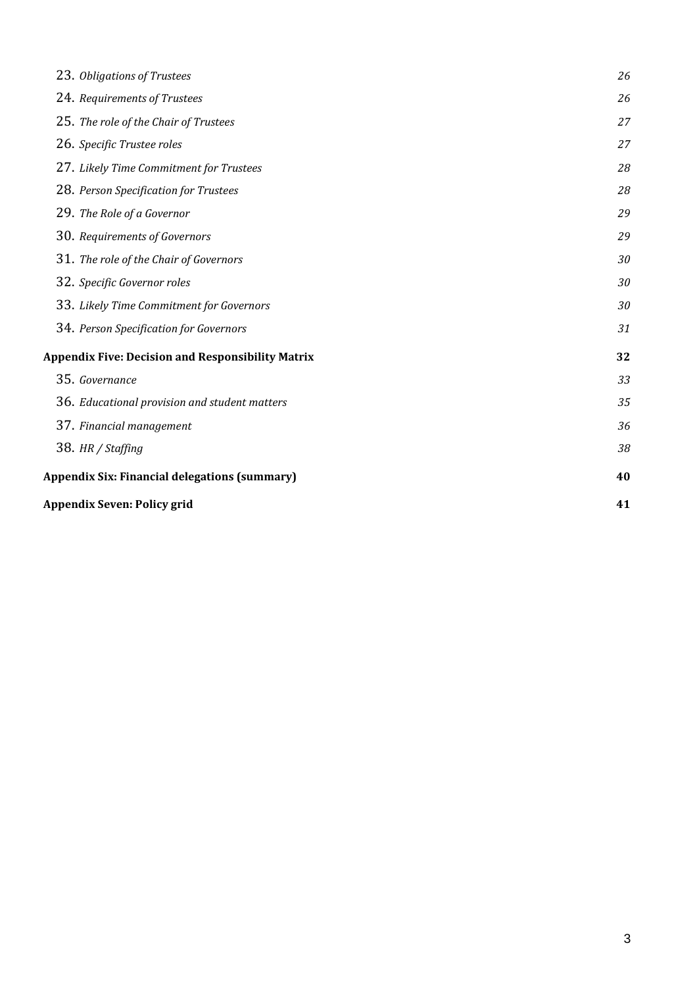| 23. Obligations of Trustees                              | 26 |
|----------------------------------------------------------|----|
| 24. Requirements of Trustees                             | 26 |
| 25. The role of the Chair of Trustees                    | 27 |
| 26. Specific Trustee roles                               | 27 |
| 27. Likely Time Commitment for Trustees                  | 28 |
| 28. Person Specification for Trustees                    | 28 |
| 29. The Role of a Governor                               | 29 |
| 30. Requirements of Governors                            | 29 |
| 31. The role of the Chair of Governors                   | 30 |
| 32. Specific Governor roles                              | 30 |
| 33. Likely Time Commitment for Governors                 | 30 |
| 34. Person Specification for Governors                   | 31 |
| <b>Appendix Five: Decision and Responsibility Matrix</b> | 32 |
| 35. Governance                                           | 33 |
| 36. Educational provision and student matters            | 35 |
| 37. Financial management                                 | 36 |
| 38. HR / Staffing                                        | 38 |
| <b>Appendix Six: Financial delegations (summary)</b>     | 40 |
| Appendix Seven: Policy grid                              | 41 |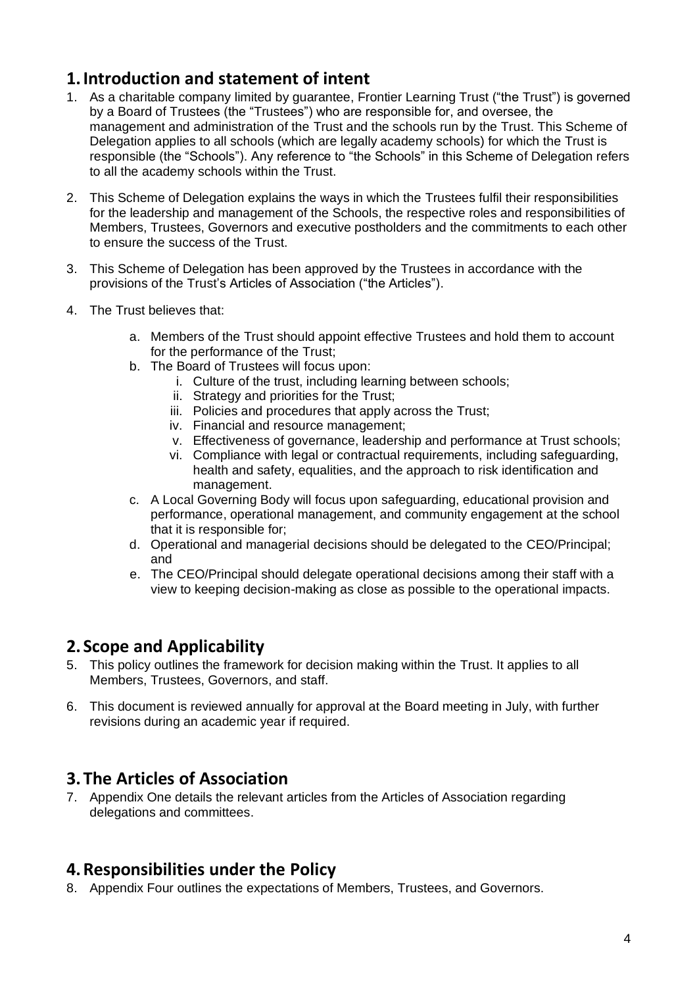# **1.Introduction and statement of intent**

- 1. As a charitable company limited by guarantee, Frontier Learning Trust ("the Trust") is governed by a Board of Trustees (the "Trustees") who are responsible for, and oversee, the management and administration of the Trust and the schools run by the Trust. This Scheme of Delegation applies to all schools (which are legally academy schools) for which the Trust is responsible (the "Schools"). Any reference to "the Schools" in this Scheme of Delegation refers to all the academy schools within the Trust.
- 2. This Scheme of Delegation explains the ways in which the Trustees fulfil their responsibilities for the leadership and management of the Schools, the respective roles and responsibilities of Members, Trustees, Governors and executive postholders and the commitments to each other to ensure the success of the Trust.
- 3. This Scheme of Delegation has been approved by the Trustees in accordance with the provisions of the Trust's Articles of Association ("the Articles").
- 4. The Trust believes that:
	- a. Members of the Trust should appoint effective Trustees and hold them to account for the performance of the Trust;
	- b. The Board of Trustees will focus upon:
		- i. Culture of the trust, including learning between schools;
		- ii. Strategy and priorities for the Trust;
		- iii. Policies and procedures that apply across the Trust;
		- iv. Financial and resource management;
		- v. Effectiveness of governance, leadership and performance at Trust schools;
		- vi. Compliance with legal or contractual requirements, including safeguarding, health and safety, equalities, and the approach to risk identification and management.
	- c. A Local Governing Body will focus upon safeguarding, educational provision and performance, operational management, and community engagement at the school that it is responsible for;
	- d. Operational and managerial decisions should be delegated to the CEO/Principal; and
	- e. The CEO/Principal should delegate operational decisions among their staff with a view to keeping decision-making as close as possible to the operational impacts.

# **2. Scope and Applicability**

- 5. This policy outlines the framework for decision making within the Trust. It applies to all Members, Trustees, Governors, and staff.
- 6. This document is reviewed annually for approval at the Board meeting in July, with further revisions during an academic year if required.

# **3.The Articles of Association**

7. Appendix One details the relevant articles from the Articles of Association regarding delegations and committees.

# **4.Responsibilities under the Policy**

8. Appendix Four outlines the expectations of Members, Trustees, and Governors.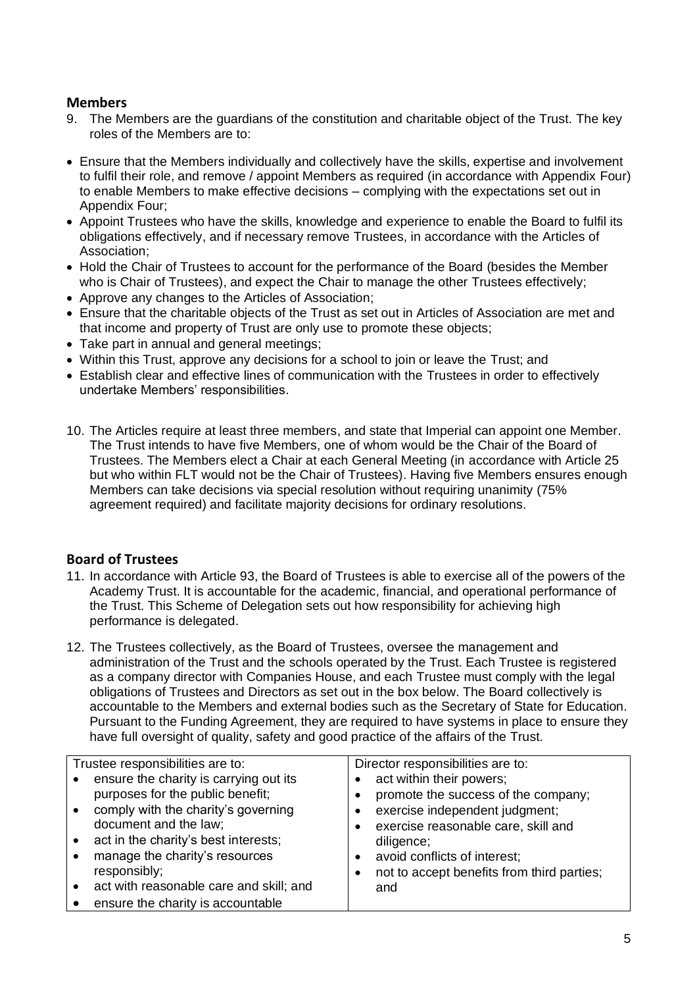# **Members**

- 9. The Members are the guardians of the constitution and charitable object of the Trust. The key roles of the Members are to:
- Ensure that the Members individually and collectively have the skills, expertise and involvement to fulfil their role, and remove / appoint Members as required (in accordance with Appendix Four) to enable Members to make effective decisions – complying with the expectations set out in Appendix Four;
- Appoint Trustees who have the skills, knowledge and experience to enable the Board to fulfil its obligations effectively, and if necessary remove Trustees, in accordance with the Articles of Association;
- Hold the Chair of Trustees to account for the performance of the Board (besides the Member who is Chair of Trustees), and expect the Chair to manage the other Trustees effectively;
- Approve any changes to the Articles of Association;
- Ensure that the charitable objects of the Trust as set out in Articles of Association are met and that income and property of Trust are only use to promote these objects;
- Take part in annual and general meetings;
- Within this Trust, approve any decisions for a school to join or leave the Trust; and
- Establish clear and effective lines of communication with the Trustees in order to effectively undertake Members' responsibilities.
- 10. The Articles require at least three members, and state that Imperial can appoint one Member. The Trust intends to have five Members, one of whom would be the Chair of the Board of Trustees. The Members elect a Chair at each General Meeting (in accordance with Article 25 but who within FLT would not be the Chair of Trustees). Having five Members ensures enough Members can take decisions via special resolution without requiring unanimity (75% agreement required) and facilitate majority decisions for ordinary resolutions.

# **Board of Trustees**

- 11. In accordance with Article 93, the Board of Trustees is able to exercise all of the powers of the Academy Trust. It is accountable for the academic, financial, and operational performance of the Trust. This Scheme of Delegation sets out how responsibility for achieving high performance is delegated.
- 12. The Trustees collectively, as the Board of Trustees, oversee the management and administration of the Trust and the schools operated by the Trust. Each Trustee is registered as a company director with Companies House, and each Trustee must comply with the legal obligations of Trustees and Directors as set out in the box below. The Board collectively is accountable to the Members and external bodies such as the Secretary of State for Education. Pursuant to the Funding Agreement, they are required to have systems in place to ensure they have full oversight of quality, safety and good practice of the affairs of the Trust.

|           | Trustee responsibilities are to:        | Director responsibilities are to: |                                            |  |  |  |  |
|-----------|-----------------------------------------|-----------------------------------|--------------------------------------------|--|--|--|--|
| $\bullet$ | ensure the charity is carrying out its  |                                   | act within their powers;                   |  |  |  |  |
|           | purposes for the public benefit;        |                                   | promote the success of the company;        |  |  |  |  |
| $\bullet$ | comply with the charity's governing     |                                   | exercise independent judgment;             |  |  |  |  |
|           | document and the law;                   |                                   | exercise reasonable care, skill and        |  |  |  |  |
| $\bullet$ | act in the charity's best interests;    |                                   | diligence;                                 |  |  |  |  |
| $\bullet$ | manage the charity's resources          | $\bullet$                         | avoid conflicts of interest;               |  |  |  |  |
|           | responsibly;                            |                                   | not to accept benefits from third parties; |  |  |  |  |
|           | act with reasonable care and skill; and |                                   | and                                        |  |  |  |  |
|           | ensure the charity is accountable       |                                   |                                            |  |  |  |  |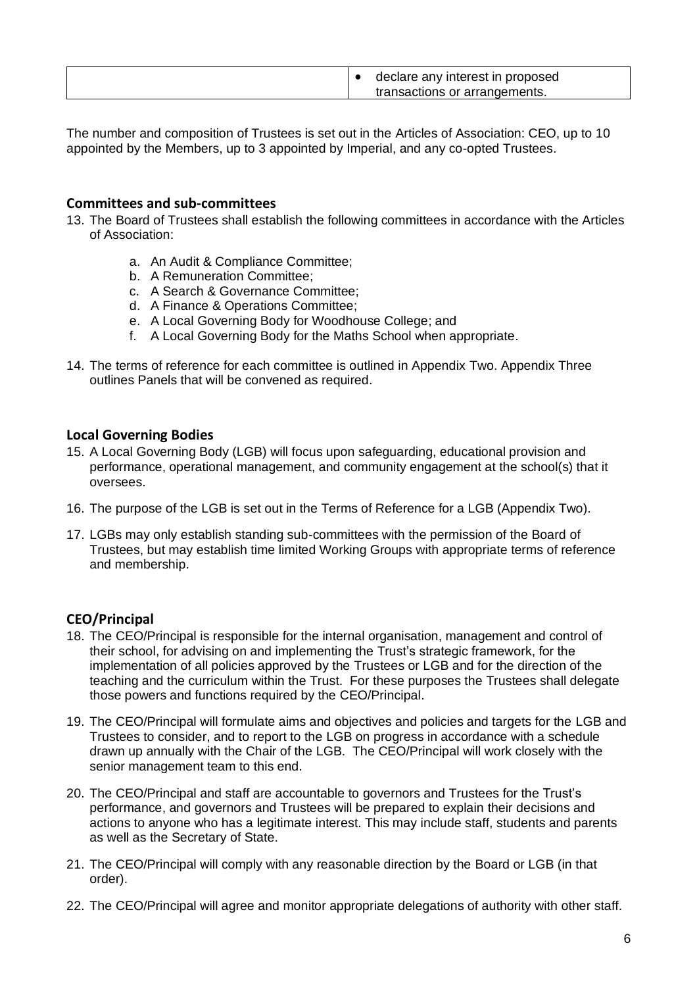| declare any interest in proposed |
|----------------------------------|
| transactions or arrangements.    |

The number and composition of Trustees is set out in the Articles of Association: CEO, up to 10 appointed by the Members, up to 3 appointed by Imperial, and any co-opted Trustees.

#### **Committees and sub-committees**

- 13. The Board of Trustees shall establish the following committees in accordance with the Articles of Association:
	- a. An Audit & Compliance Committee;
	- b. A Remuneration Committee;
	- c. A Search & Governance Committee;
	- d. A Finance & Operations Committee;
	- e. A Local Governing Body for Woodhouse College; and
	- f. A Local Governing Body for the Maths School when appropriate.
- 14. The terms of reference for each committee is outlined in Appendix Two. Appendix Three outlines Panels that will be convened as required.

#### **Local Governing Bodies**

- 15. A Local Governing Body (LGB) will focus upon safeguarding, educational provision and performance, operational management, and community engagement at the school(s) that it oversees.
- 16. The purpose of the LGB is set out in the Terms of Reference for a LGB (Appendix Two).
- 17. LGBs may only establish standing sub-committees with the permission of the Board of Trustees, but may establish time limited Working Groups with appropriate terms of reference and membership.

#### **CEO/Principal**

- 18. The CEO/Principal is responsible for the internal organisation, management and control of their school, for advising on and implementing the Trust's strategic framework, for the implementation of all policies approved by the Trustees or LGB and for the direction of the teaching and the curriculum within the Trust. For these purposes the Trustees shall delegate those powers and functions required by the CEO/Principal.
- 19. The CEO/Principal will formulate aims and objectives and policies and targets for the LGB and Trustees to consider, and to report to the LGB on progress in accordance with a schedule drawn up annually with the Chair of the LGB. The CEO/Principal will work closely with the senior management team to this end.
- 20. The CEO/Principal and staff are accountable to governors and Trustees for the Trust's performance, and governors and Trustees will be prepared to explain their decisions and actions to anyone who has a legitimate interest. This may include staff, students and parents as well as the Secretary of State.
- 21. The CEO/Principal will comply with any reasonable direction by the Board or LGB (in that order).
- 22. The CEO/Principal will agree and monitor appropriate delegations of authority with other staff.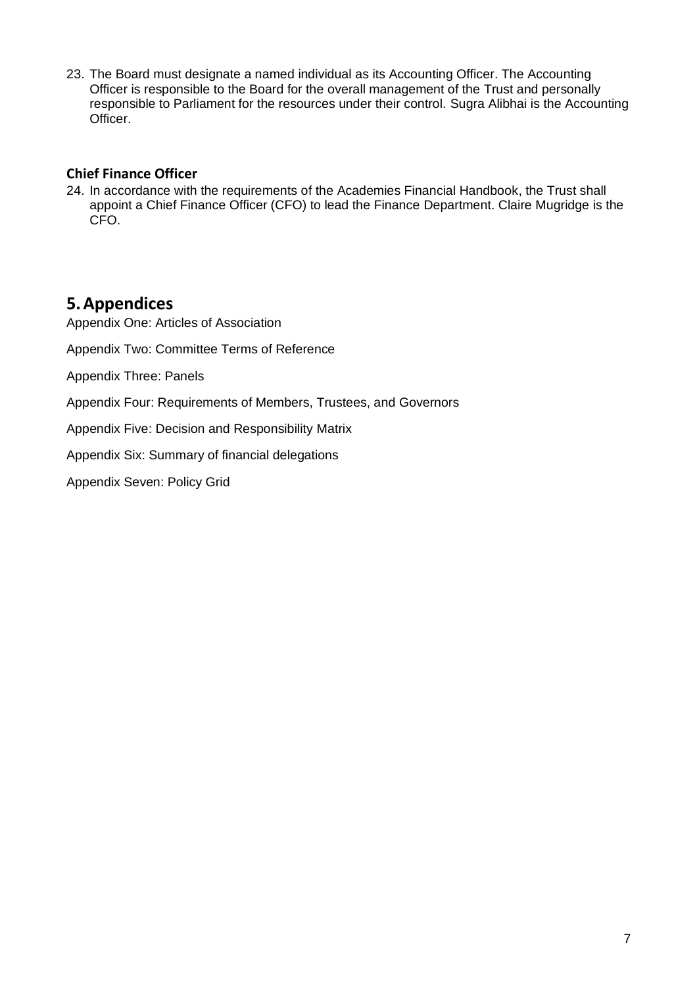23. The Board must designate a named individual as its Accounting Officer. The Accounting Officer is responsible to the Board for the overall management of the Trust and personally responsible to Parliament for the resources under their control. Sugra Alibhai is the Accounting Officer.

# **Chief Finance Officer**

24. In accordance with the requirements of the Academies Financial Handbook, the Trust shall appoint a Chief Finance Officer (CFO) to lead the Finance Department. Claire Mugridge is the CFO.

# **5.Appendices**

Appendix One: Articles of Association

Appendix Two: Committee Terms of Reference

Appendix Three: Panels

Appendix Four: Requirements of Members, Trustees, and Governors

Appendix Five: Decision and Responsibility Matrix

Appendix Six: Summary of financial delegations

Appendix Seven: Policy Grid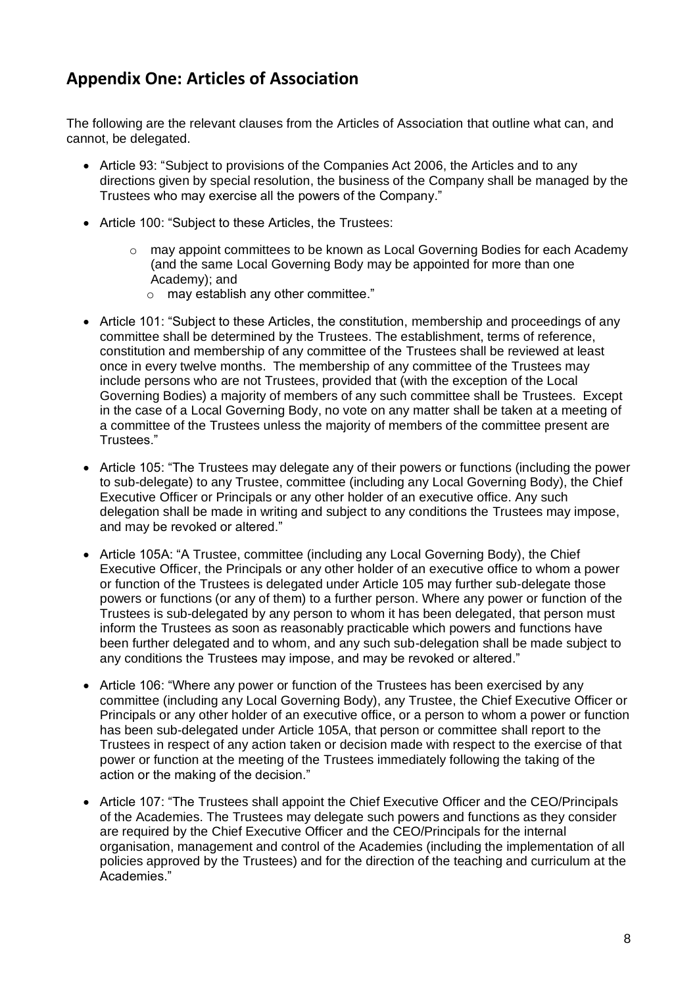# **Appendix One: Articles of Association**

The following are the relevant clauses from the Articles of Association that outline what can, and cannot, be delegated.

- Article 93: "Subject to provisions of the Companies Act 2006, the Articles and to any directions given by special resolution, the business of the Company shall be managed by the Trustees who may exercise all the powers of the Company."
- Article 100: "Subject to these Articles, the Trustees:
	- o may appoint committees to be known as Local Governing Bodies for each Academy (and the same Local Governing Body may be appointed for more than one Academy); and
		- o may establish any other committee."
- Article 101: "Subject to these Articles, the constitution, membership and proceedings of any committee shall be determined by the Trustees. The establishment, terms of reference, constitution and membership of any committee of the Trustees shall be reviewed at least once in every twelve months. The membership of any committee of the Trustees may include persons who are not Trustees, provided that (with the exception of the Local Governing Bodies) a majority of members of any such committee shall be Trustees. Except in the case of a Local Governing Body, no vote on any matter shall be taken at a meeting of a committee of the Trustees unless the majority of members of the committee present are Trustees."
- Article 105: "The Trustees may delegate any of their powers or functions (including the power to sub-delegate) to any Trustee, committee (including any Local Governing Body), the Chief Executive Officer or Principals or any other holder of an executive office. Any such delegation shall be made in writing and subject to any conditions the Trustees may impose, and may be revoked or altered."
- Article 105A: "A Trustee, committee (including any Local Governing Body), the Chief Executive Officer, the Principals or any other holder of an executive office to whom a power or function of the Trustees is delegated under Article 105 may further sub-delegate those powers or functions (or any of them) to a further person. Where any power or function of the Trustees is sub-delegated by any person to whom it has been delegated, that person must inform the Trustees as soon as reasonably practicable which powers and functions have been further delegated and to whom, and any such sub-delegation shall be made subject to any conditions the Trustees may impose, and may be revoked or altered."
- Article 106: "Where any power or function of the Trustees has been exercised by any committee (including any Local Governing Body), any Trustee, the Chief Executive Officer or Principals or any other holder of an executive office, or a person to whom a power or function has been sub-delegated under Article 105A, that person or committee shall report to the Trustees in respect of any action taken or decision made with respect to the exercise of that power or function at the meeting of the Trustees immediately following the taking of the action or the making of the decision."
- Article 107: "The Trustees shall appoint the Chief Executive Officer and the CEO/Principals of the Academies. The Trustees may delegate such powers and functions as they consider are required by the Chief Executive Officer and the CEO/Principals for the internal organisation, management and control of the Academies (including the implementation of all policies approved by the Trustees) and for the direction of the teaching and curriculum at the Academies."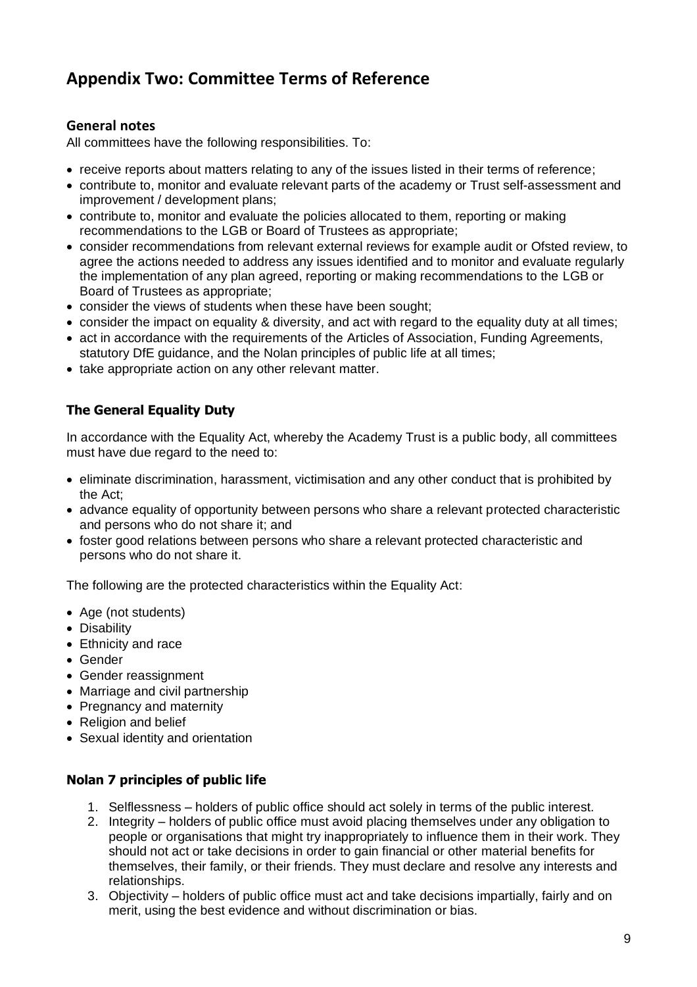# **Appendix Two: Committee Terms of Reference**

# **General notes**

All committees have the following responsibilities. To:

- receive reports about matters relating to any of the issues listed in their terms of reference;
- contribute to, monitor and evaluate relevant parts of the academy or Trust self-assessment and improvement / development plans;
- contribute to, monitor and evaluate the policies allocated to them, reporting or making recommendations to the LGB or Board of Trustees as appropriate;
- consider recommendations from relevant external reviews for example audit or Ofsted review, to agree the actions needed to address any issues identified and to monitor and evaluate regularly the implementation of any plan agreed, reporting or making recommendations to the LGB or Board of Trustees as appropriate;
- consider the views of students when these have been sought;
- consider the impact on equality & diversity, and act with regard to the equality duty at all times;
- act in accordance with the requirements of the Articles of Association, Funding Agreements, statutory DfE guidance, and the Nolan principles of public life at all times;
- take appropriate action on any other relevant matter.

# **The General Equality Duty**

In accordance with the Equality Act, whereby the Academy Trust is a public body, all committees must have due regard to the need to:

- eliminate discrimination, harassment, victimisation and any other conduct that is prohibited by the Act;
- advance equality of opportunity between persons who share a relevant protected characteristic and persons who do not share it; and
- foster good relations between persons who share a relevant protected characteristic and persons who do not share it.

The following are the protected characteristics within the Equality Act:

- Age (not students)
- Disability
- Ethnicity and race
- Gender
- Gender reassignment
- Marriage and civil partnership
- Pregnancy and maternity
- Religion and belief
- Sexual identity and orientation

# **Nolan 7 principles of public life**

- 1. Selflessness holders of public office should act solely in terms of the public interest.
- 2. Integrity holders of public office must avoid placing themselves under any obligation to people or organisations that might try inappropriately to influence them in their work. They should not act or take decisions in order to gain financial or other material benefits for themselves, their family, or their friends. They must declare and resolve any interests and relationships.
- 3. Objectivity holders of public office must act and take decisions impartially, fairly and on merit, using the best evidence and without discrimination or bias.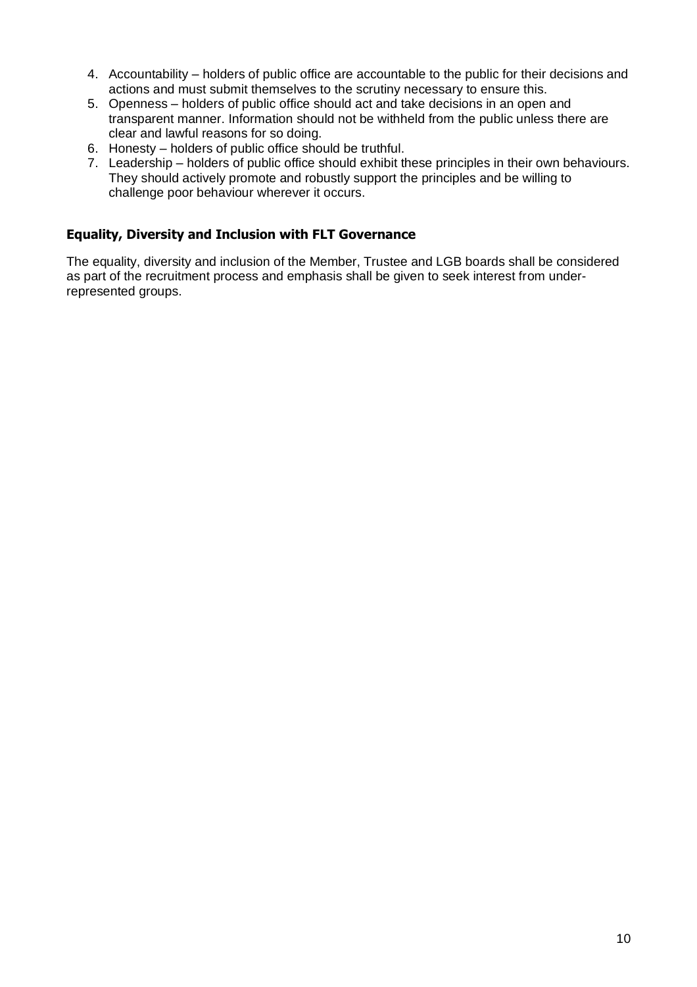- 4. Accountability holders of public office are accountable to the public for their decisions and actions and must submit themselves to the scrutiny necessary to ensure this.
- 5. Openness holders of public office should act and take decisions in an open and transparent manner. Information should not be withheld from the public unless there are clear and lawful reasons for so doing.
- 6. Honesty holders of public office should be truthful.
- 7. Leadership holders of public office should exhibit these principles in their own behaviours. They should actively promote and robustly support the principles and be willing to challenge poor behaviour wherever it occurs.

# **Equality, Diversity and Inclusion with FLT Governance**

The equality, diversity and inclusion of the Member, Trustee and LGB boards shall be considered as part of the recruitment process and emphasis shall be given to seek interest from underrepresented groups.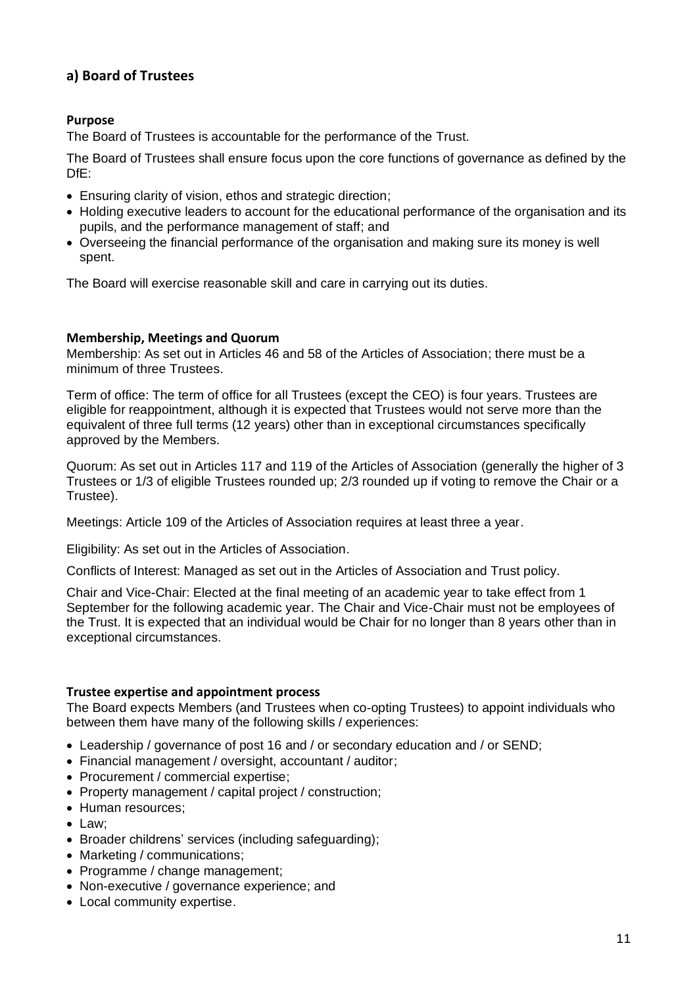# **a) Board of Trustees**

# **Purpose**

The Board of Trustees is accountable for the performance of the Trust.

The Board of Trustees shall ensure focus upon the core functions of governance as defined by the DfE:

- Ensuring clarity of vision, ethos and strategic direction;
- Holding executive leaders to account for the educational performance of the organisation and its pupils, and the performance management of staff; and
- Overseeing the financial performance of the organisation and making sure its money is well spent.

The Board will exercise reasonable skill and care in carrying out its duties.

#### **Membership, Meetings and Quorum**

Membership: As set out in Articles 46 and 58 of the Articles of Association; there must be a minimum of three Trustees.

Term of office: The term of office for all Trustees (except the CEO) is four years. Trustees are eligible for reappointment, although it is expected that Trustees would not serve more than the equivalent of three full terms (12 years) other than in exceptional circumstances specifically approved by the Members.

Quorum: As set out in Articles 117 and 119 of the Articles of Association (generally the higher of 3 Trustees or 1/3 of eligible Trustees rounded up; 2/3 rounded up if voting to remove the Chair or a Trustee).

Meetings: Article 109 of the Articles of Association requires at least three a year.

Eligibility: As set out in the Articles of Association.

Conflicts of Interest: Managed as set out in the Articles of Association and Trust policy.

Chair and Vice-Chair: Elected at the final meeting of an academic year to take effect from 1 September for the following academic year. The Chair and Vice-Chair must not be employees of the Trust. It is expected that an individual would be Chair for no longer than 8 years other than in exceptional circumstances.

#### **Trustee expertise and appointment process**

The Board expects Members (and Trustees when co-opting Trustees) to appoint individuals who between them have many of the following skills / experiences:

- Leadership / governance of post 16 and / or secondary education and / or SEND;
- Financial management / oversight, accountant / auditor;
- Procurement / commercial expertise:
- Property management / capital project / construction;
- Human resources:
- Law;
- Broader childrens' services (including safeguarding);
- Marketing / communications:
- Programme / change management;
- Non-executive / governance experience; and
- Local community expertise.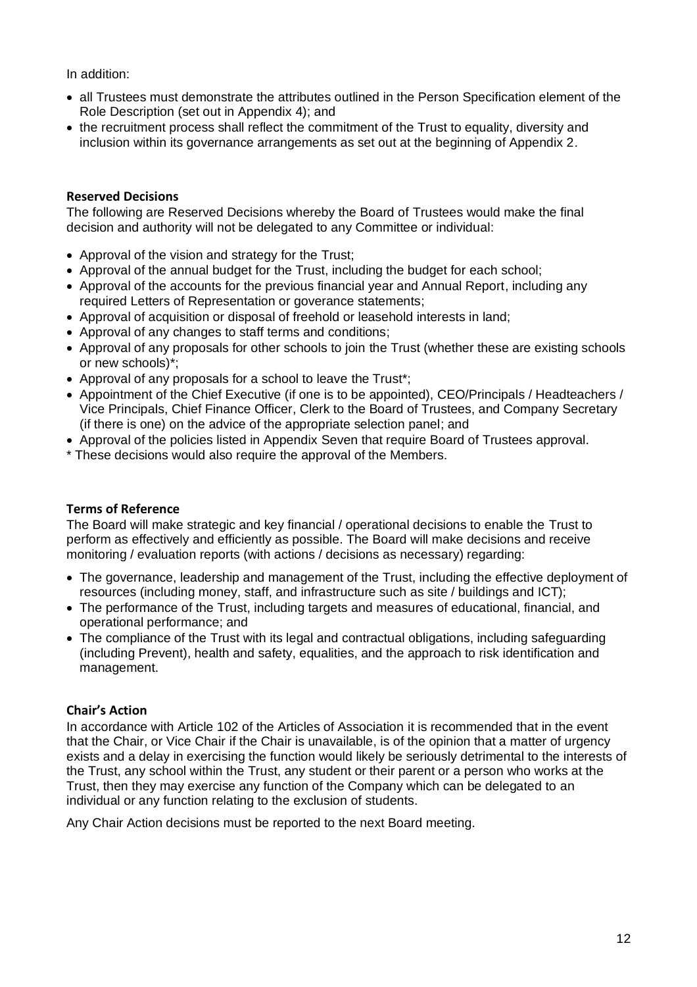In addition:

- all Trustees must demonstrate the attributes outlined in the Person Specification element of the Role Description (set out in Appendix 4); and
- the recruitment process shall reflect the commitment of the Trust to equality, diversity and inclusion within its governance arrangements as set out at the beginning of Appendix 2.

# **Reserved Decisions**

The following are Reserved Decisions whereby the Board of Trustees would make the final decision and authority will not be delegated to any Committee or individual:

- Approval of the vision and strategy for the Trust;
- Approval of the annual budget for the Trust, including the budget for each school;
- Approval of the accounts for the previous financial year and Annual Report, including any required Letters of Representation or goverance statements;
- Approval of acquisition or disposal of freehold or leasehold interests in land;
- Approval of any changes to staff terms and conditions;
- Approval of any proposals for other schools to join the Trust (whether these are existing schools or new schools)\*;
- Approval of any proposals for a school to leave the Trust\*;
- Appointment of the Chief Executive (if one is to be appointed), CEO/Principals / Headteachers / Vice Principals, Chief Finance Officer, Clerk to the Board of Trustees, and Company Secretary (if there is one) on the advice of the appropriate selection panel; and
- Approval of the policies listed in Appendix Seven that require Board of Trustees approval.
- \* These decisions would also require the approval of the Members.

#### **Terms of Reference**

The Board will make strategic and key financial / operational decisions to enable the Trust to perform as effectively and efficiently as possible. The Board will make decisions and receive monitoring / evaluation reports (with actions / decisions as necessary) regarding:

- The governance, leadership and management of the Trust, including the effective deployment of resources (including money, staff, and infrastructure such as site / buildings and ICT);
- The performance of the Trust, including targets and measures of educational, financial, and operational performance; and
- The compliance of the Trust with its legal and contractual obligations, including safeguarding (including Prevent), health and safety, equalities, and the approach to risk identification and management.

#### **Chair's Action**

In accordance with Article 102 of the Articles of Association it is recommended that in the event that the Chair, or Vice Chair if the Chair is unavailable, is of the opinion that a matter of urgency exists and a delay in exercising the function would likely be seriously detrimental to the interests of the Trust, any school within the Trust, any student or their parent or a person who works at the Trust, then they may exercise any function of the Company which can be delegated to an individual or any function relating to the exclusion of students.

Any Chair Action decisions must be reported to the next Board meeting.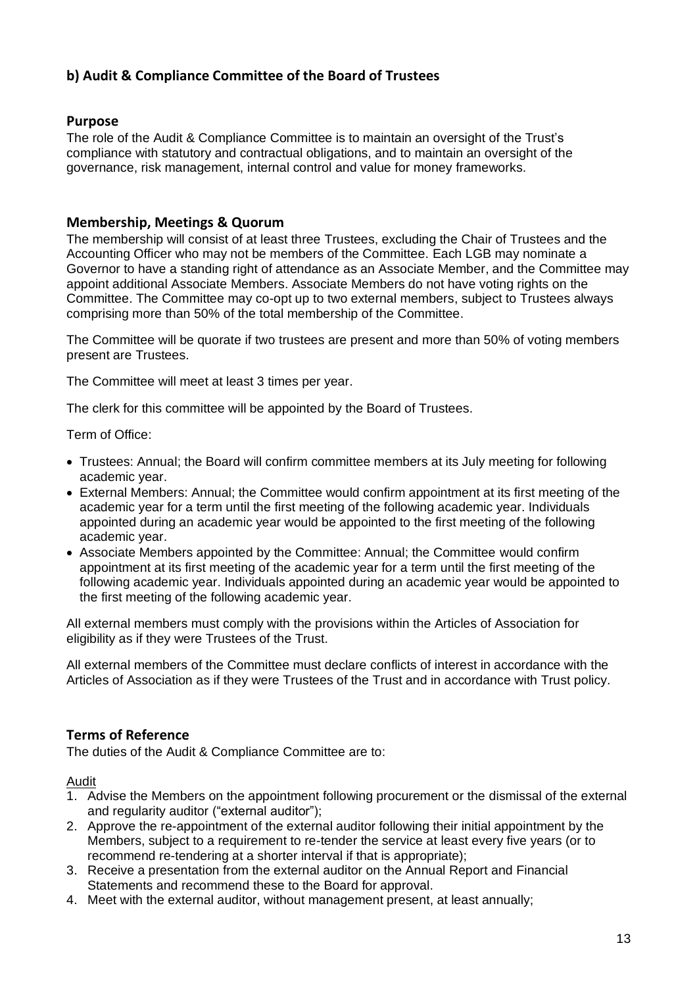# **b) Audit & Compliance Committee of the Board of Trustees**

# **Purpose**

The role of the Audit & Compliance Committee is to maintain an oversight of the Trust's compliance with statutory and contractual obligations, and to maintain an oversight of the governance, risk management, internal control and value for money frameworks.

# **Membership, Meetings & Quorum**

The membership will consist of at least three Trustees, excluding the Chair of Trustees and the Accounting Officer who may not be members of the Committee. Each LGB may nominate a Governor to have a standing right of attendance as an Associate Member, and the Committee may appoint additional Associate Members. Associate Members do not have voting rights on the Committee. The Committee may co-opt up to two external members, subject to Trustees always comprising more than 50% of the total membership of the Committee.

The Committee will be quorate if two trustees are present and more than 50% of voting members present are Trustees.

The Committee will meet at least 3 times per year.

The clerk for this committee will be appointed by the Board of Trustees.

Term of Office:

- Trustees: Annual; the Board will confirm committee members at its July meeting for following academic year.
- External Members: Annual; the Committee would confirm appointment at its first meeting of the academic year for a term until the first meeting of the following academic year. Individuals appointed during an academic year would be appointed to the first meeting of the following academic year.
- Associate Members appointed by the Committee: Annual; the Committee would confirm appointment at its first meeting of the academic year for a term until the first meeting of the following academic year. Individuals appointed during an academic year would be appointed to the first meeting of the following academic year.

All external members must comply with the provisions within the Articles of Association for eligibility as if they were Trustees of the Trust.

All external members of the Committee must declare conflicts of interest in accordance with the Articles of Association as if they were Trustees of the Trust and in accordance with Trust policy.

# **Terms of Reference**

The duties of the Audit & Compliance Committee are to:

Audit

- 1. Advise the Members on the appointment following procurement or the dismissal of the external and regularity auditor ("external auditor");
- 2. Approve the re-appointment of the external auditor following their initial appointment by the Members, subject to a requirement to re-tender the service at least every five years (or to recommend re-tendering at a shorter interval if that is appropriate);
- 3. Receive a presentation from the external auditor on the Annual Report and Financial Statements and recommend these to the Board for approval.
- 4. Meet with the external auditor, without management present, at least annually;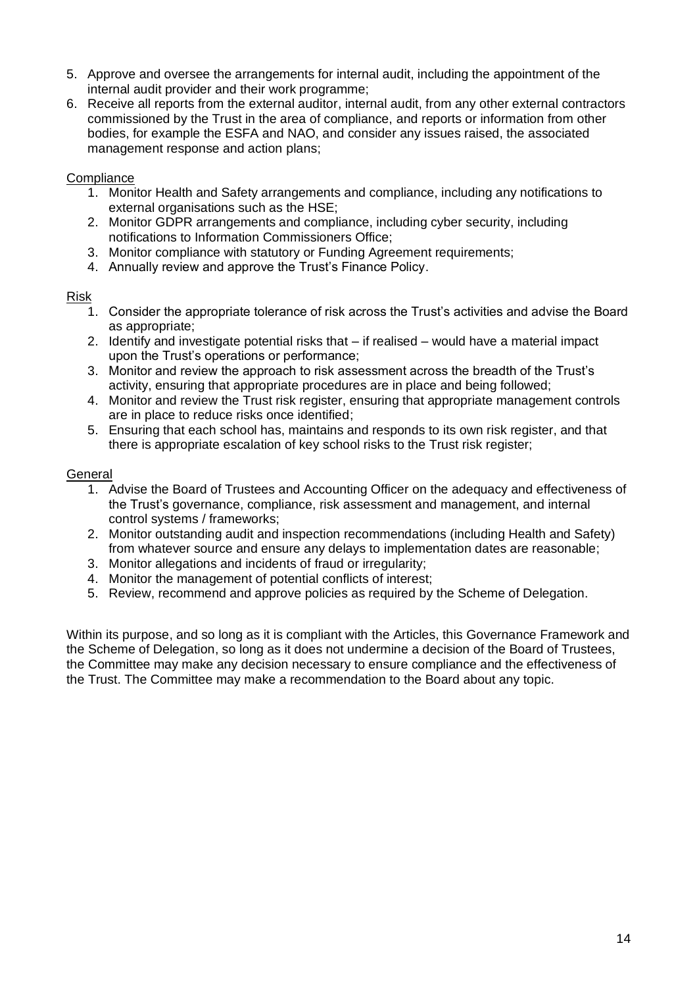- 5. Approve and oversee the arrangements for internal audit, including the appointment of the internal audit provider and their work programme;
- 6. Receive all reports from the external auditor, internal audit, from any other external contractors commissioned by the Trust in the area of compliance, and reports or information from other bodies, for example the ESFA and NAO, and consider any issues raised, the associated management response and action plans;

#### **Compliance**

- 1. Monitor Health and Safety arrangements and compliance, including any notifications to external organisations such as the HSE;
- 2. Monitor GDPR arrangements and compliance, including cyber security, including notifications to Information Commissioners Office;
- 3. Monitor compliance with statutory or Funding Agreement requirements;
- 4. Annually review and approve the Trust's Finance Policy.

#### Risk

- 1. Consider the appropriate tolerance of risk across the Trust's activities and advise the Board as appropriate;
- 2. Identify and investigate potential risks that if realised would have a material impact upon the Trust's operations or performance;
- 3. Monitor and review the approach to risk assessment across the breadth of the Trust's activity, ensuring that appropriate procedures are in place and being followed;
- 4. Monitor and review the Trust risk register, ensuring that appropriate management controls are in place to reduce risks once identified;
- 5. Ensuring that each school has, maintains and responds to its own risk register, and that there is appropriate escalation of key school risks to the Trust risk register;

#### **General**

- 1. Advise the Board of Trustees and Accounting Officer on the adequacy and effectiveness of the Trust's governance, compliance, risk assessment and management, and internal control systems / frameworks;
- 2. Monitor outstanding audit and inspection recommendations (including Health and Safety) from whatever source and ensure any delays to implementation dates are reasonable;
- 3. Monitor allegations and incidents of fraud or irregularity;
- 4. Monitor the management of potential conflicts of interest;
- 5. Review, recommend and approve policies as required by the Scheme of Delegation.

Within its purpose, and so long as it is compliant with the Articles, this Governance Framework and the Scheme of Delegation, so long as it does not undermine a decision of the Board of Trustees, the Committee may make any decision necessary to ensure compliance and the effectiveness of the Trust. The Committee may make a recommendation to the Board about any topic.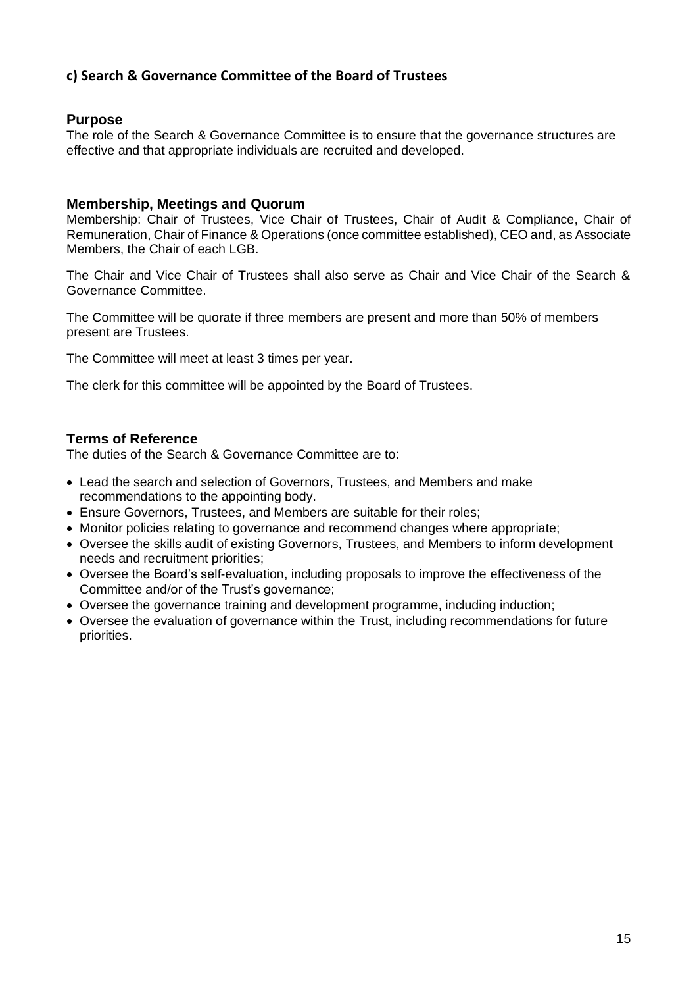# **c) Search & Governance Committee of the Board of Trustees**

# **Purpose**

The role of the Search & Governance Committee is to ensure that the governance structures are effective and that appropriate individuals are recruited and developed.

#### **Membership, Meetings and Quorum**

Membership: Chair of Trustees, Vice Chair of Trustees, Chair of Audit & Compliance, Chair of Remuneration, Chair of Finance & Operations (once committee established), CEO and, as Associate Members, the Chair of each LGB.

The Chair and Vice Chair of Trustees shall also serve as Chair and Vice Chair of the Search & Governance Committee.

The Committee will be quorate if three members are present and more than 50% of members present are Trustees.

The Committee will meet at least 3 times per year.

The clerk for this committee will be appointed by the Board of Trustees.

#### **Terms of Reference**

The duties of the Search & Governance Committee are to:

- Lead the search and selection of Governors, Trustees, and Members and make recommendations to the appointing body.
- Ensure Governors, Trustees, and Members are suitable for their roles;
- Monitor policies relating to governance and recommend changes where appropriate;
- Oversee the skills audit of existing Governors, Trustees, and Members to inform development needs and recruitment priorities;
- Oversee the Board's self-evaluation, including proposals to improve the effectiveness of the Committee and/or of the Trust's governance;
- Oversee the governance training and development programme, including induction;
- Oversee the evaluation of governance within the Trust, including recommendations for future priorities.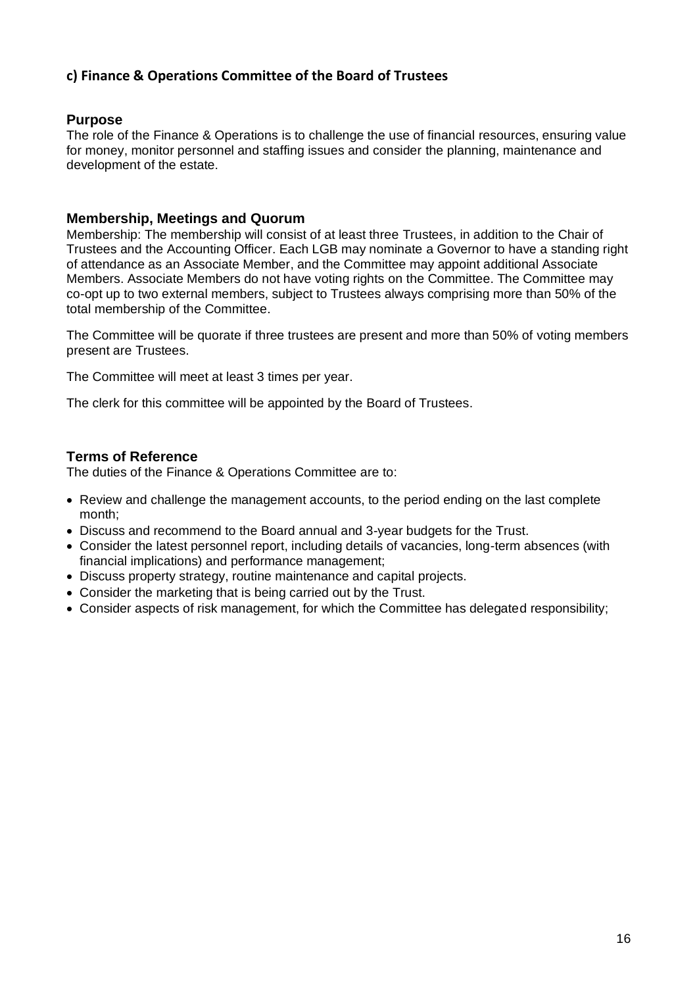# **c) Finance & Operations Committee of the Board of Trustees**

# **Purpose**

The role of the Finance & Operations is to challenge the use of financial resources, ensuring value for money, monitor personnel and staffing issues and consider the planning, maintenance and development of the estate.

# **Membership, Meetings and Quorum**

Membership: The membership will consist of at least three Trustees, in addition to the Chair of Trustees and the Accounting Officer. Each LGB may nominate a Governor to have a standing right of attendance as an Associate Member, and the Committee may appoint additional Associate Members. Associate Members do not have voting rights on the Committee. The Committee may co-opt up to two external members, subject to Trustees always comprising more than 50% of the total membership of the Committee.

The Committee will be quorate if three trustees are present and more than 50% of voting members present are Trustees.

The Committee will meet at least 3 times per year.

The clerk for this committee will be appointed by the Board of Trustees.

# **Terms of Reference**

The duties of the Finance & Operations Committee are to:

- Review and challenge the management accounts, to the period ending on the last complete month;
- Discuss and recommend to the Board annual and 3-year budgets for the Trust.
- Consider the latest personnel report, including details of vacancies, long-term absences (with financial implications) and performance management;
- Discuss property strategy, routine maintenance and capital projects.
- Consider the marketing that is being carried out by the Trust.
- Consider aspects of risk management, for which the Committee has delegated responsibility;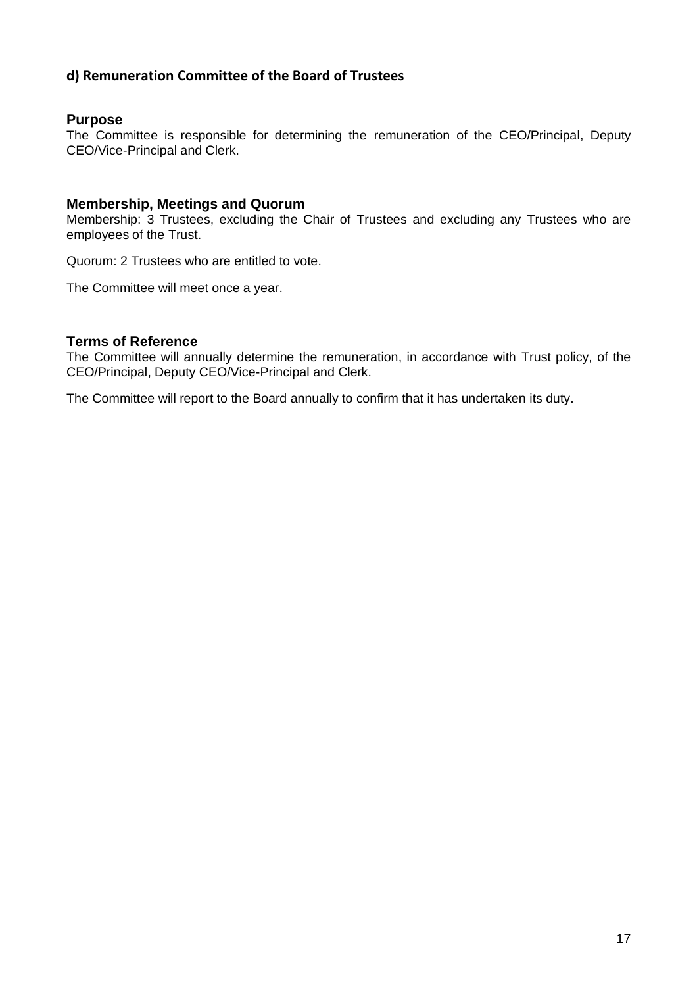# **d) Remuneration Committee of the Board of Trustees**

#### **Purpose**

The Committee is responsible for determining the remuneration of the CEO/Principal, Deputy CEO/Vice-Principal and Clerk.

#### **Membership, Meetings and Quorum**

Membership: 3 Trustees, excluding the Chair of Trustees and excluding any Trustees who are employees of the Trust.

Quorum: 2 Trustees who are entitled to vote.

The Committee will meet once a year.

#### **Terms of Reference**

The Committee will annually determine the remuneration, in accordance with Trust policy, of the CEO/Principal, Deputy CEO/Vice-Principal and Clerk.

The Committee will report to the Board annually to confirm that it has undertaken its duty.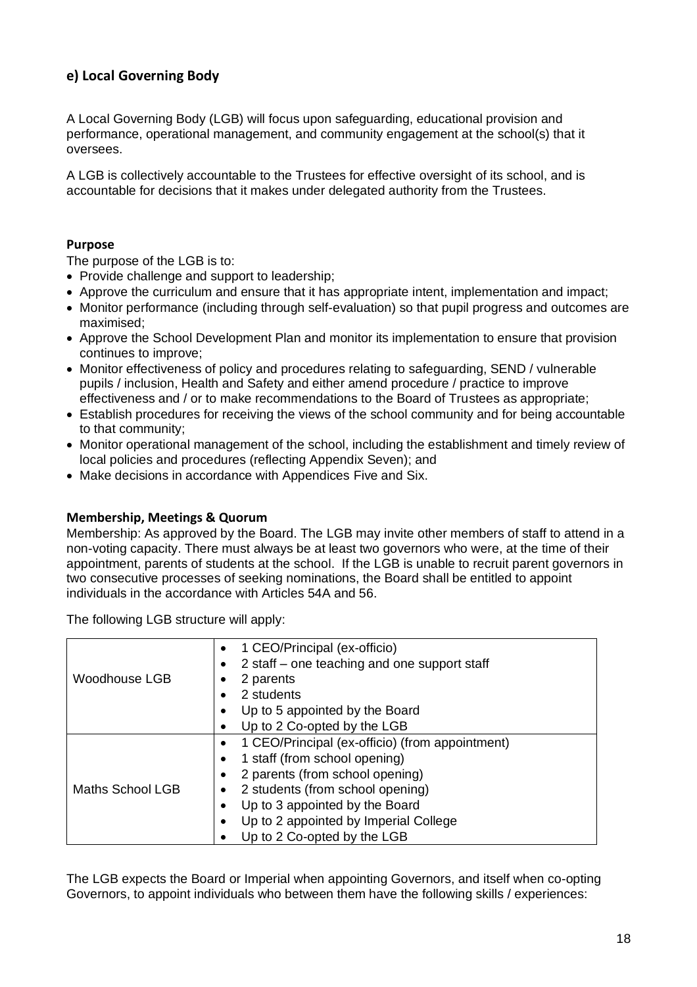# **e) Local Governing Body**

A Local Governing Body (LGB) will focus upon safeguarding, educational provision and performance, operational management, and community engagement at the school(s) that it oversees.

A LGB is collectively accountable to the Trustees for effective oversight of its school, and is accountable for decisions that it makes under delegated authority from the Trustees.

#### **Purpose**

The purpose of the LGB is to:

- Provide challenge and support to leadership;
- Approve the curriculum and ensure that it has appropriate intent, implementation and impact;
- Monitor performance (including through self-evaluation) so that pupil progress and outcomes are maximised;
- Approve the School Development Plan and monitor its implementation to ensure that provision continues to improve;
- Monitor effectiveness of policy and procedures relating to safeguarding, SEND / vulnerable pupils / inclusion, Health and Safety and either amend procedure / practice to improve effectiveness and / or to make recommendations to the Board of Trustees as appropriate;
- Establish procedures for receiving the views of the school community and for being accountable to that community;
- Monitor operational management of the school, including the establishment and timely review of local policies and procedures (reflecting Appendix Seven); and
- Make decisions in accordance with Appendices Five and Six.

#### **Membership, Meetings & Quorum**

Membership: As approved by the Board. The LGB may invite other members of staff to attend in a non-voting capacity. There must always be at least two governors who were, at the time of their appointment, parents of students at the school. If the LGB is unable to recruit parent governors in two consecutive processes of seeking nominations, the Board shall be entitled to appoint individuals in the accordance with Articles 54A and 56.

The following LGB structure will apply:

|                  | 1 CEO/Principal (ex-officio)                    |
|------------------|-------------------------------------------------|
|                  | 2 staff – one teaching and one support staff    |
| Woodhouse LGB    | 2 parents                                       |
|                  | 2 students                                      |
|                  | Up to 5 appointed by the Board                  |
|                  | Up to 2 Co-opted by the LGB                     |
|                  | 1 CEO/Principal (ex-officio) (from appointment) |
|                  | 1 staff (from school opening)                   |
|                  | 2 parents (from school opening)                 |
| Maths School LGB | 2 students (from school opening)                |
|                  | Up to 3 appointed by the Board                  |
|                  | Up to 2 appointed by Imperial College           |
|                  | Up to 2 Co-opted by the LGB                     |

The LGB expects the Board or Imperial when appointing Governors, and itself when co-opting Governors, to appoint individuals who between them have the following skills / experiences: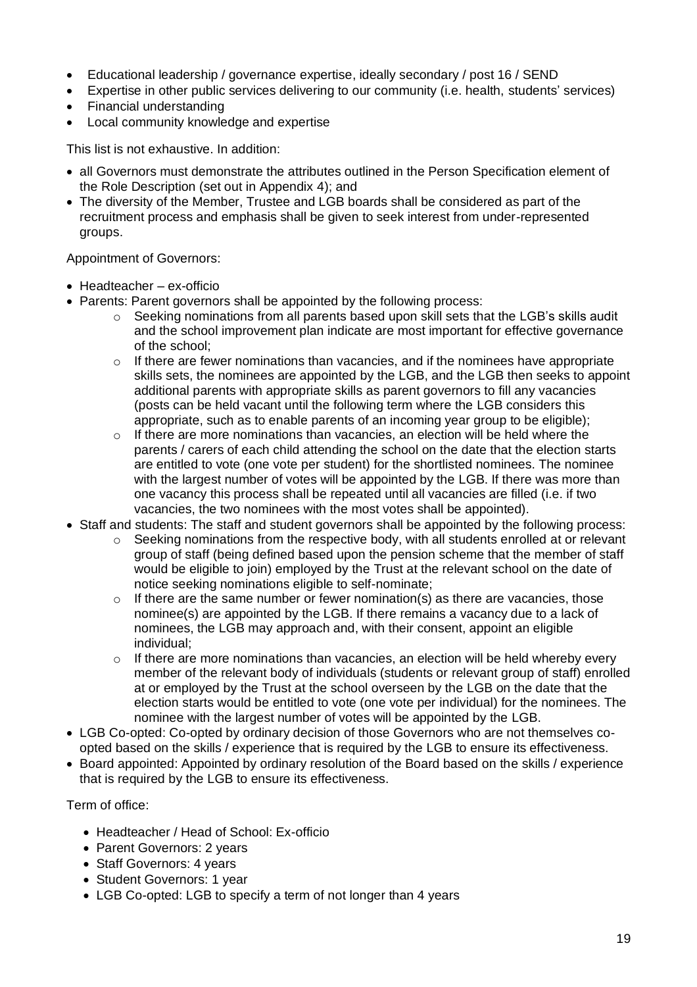- Educational leadership / governance expertise, ideally secondary / post 16 / SEND
- Expertise in other public services delivering to our community (i.e. health, students' services)
- Financial understanding
- Local community knowledge and expertise

This list is not exhaustive. In addition:

- all Governors must demonstrate the attributes outlined in the Person Specification element of the Role Description (set out in Appendix 4); and
- The diversity of the Member, Trustee and LGB boards shall be considered as part of the recruitment process and emphasis shall be given to seek interest from under-represented groups.

#### Appointment of Governors:

- Headteacher ex-officio
- Parents: Parent governors shall be appointed by the following process:
	- $\circ$  Seeking nominations from all parents based upon skill sets that the LGB's skills audit and the school improvement plan indicate are most important for effective governance of the school;
	- o If there are fewer nominations than vacancies, and if the nominees have appropriate skills sets, the nominees are appointed by the LGB, and the LGB then seeks to appoint additional parents with appropriate skills as parent governors to fill any vacancies (posts can be held vacant until the following term where the LGB considers this appropriate, such as to enable parents of an incoming year group to be eligible);
	- $\circ$  If there are more nominations than vacancies, an election will be held where the parents / carers of each child attending the school on the date that the election starts are entitled to vote (one vote per student) for the shortlisted nominees. The nominee with the largest number of votes will be appointed by the LGB. If there was more than one vacancy this process shall be repeated until all vacancies are filled (i.e. if two vacancies, the two nominees with the most votes shall be appointed).
- Staff and students: The staff and student governors shall be appointed by the following process:
	- o Seeking nominations from the respective body, with all students enrolled at or relevant group of staff (being defined based upon the pension scheme that the member of staff would be eligible to join) employed by the Trust at the relevant school on the date of notice seeking nominations eligible to self-nominate;
	- $\circ$  If there are the same number or fewer nomination(s) as there are vacancies, those nominee(s) are appointed by the LGB. If there remains a vacancy due to a lack of nominees, the LGB may approach and, with their consent, appoint an eligible individual;
	- o If there are more nominations than vacancies, an election will be held whereby every member of the relevant body of individuals (students or relevant group of staff) enrolled at or employed by the Trust at the school overseen by the LGB on the date that the election starts would be entitled to vote (one vote per individual) for the nominees. The nominee with the largest number of votes will be appointed by the LGB.
- LGB Co-opted: Co-opted by ordinary decision of those Governors who are not themselves coopted based on the skills / experience that is required by the LGB to ensure its effectiveness.
- Board appointed: Appointed by ordinary resolution of the Board based on the skills / experience that is required by the LGB to ensure its effectiveness.

Term of office:

- Headteacher / Head of School: Ex-officio
- Parent Governors: 2 years
- Staff Governors: 4 years
- Student Governors: 1 year
- LGB Co-opted: LGB to specify a term of not longer than 4 years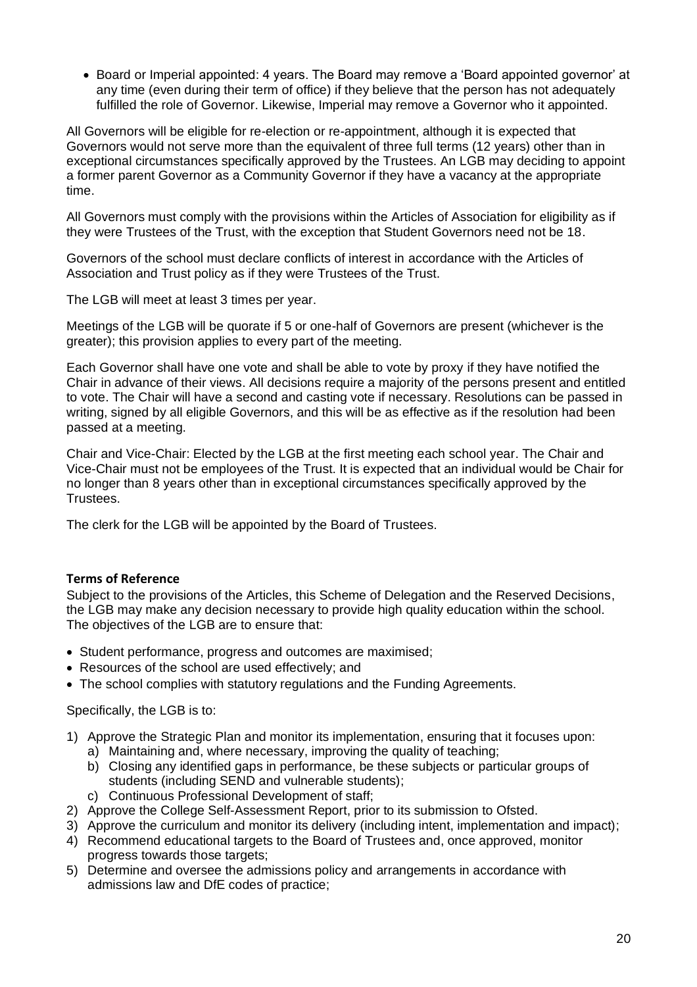• Board or Imperial appointed: 4 years. The Board may remove a 'Board appointed governor' at any time (even during their term of office) if they believe that the person has not adequately fulfilled the role of Governor. Likewise, Imperial may remove a Governor who it appointed.

All Governors will be eligible for re-election or re-appointment, although it is expected that Governors would not serve more than the equivalent of three full terms (12 years) other than in exceptional circumstances specifically approved by the Trustees. An LGB may deciding to appoint a former parent Governor as a Community Governor if they have a vacancy at the appropriate time.

All Governors must comply with the provisions within the Articles of Association for eligibility as if they were Trustees of the Trust, with the exception that Student Governors need not be 18.

Governors of the school must declare conflicts of interest in accordance with the Articles of Association and Trust policy as if they were Trustees of the Trust.

The LGB will meet at least 3 times per year.

Meetings of the LGB will be quorate if 5 or one-half of Governors are present (whichever is the greater); this provision applies to every part of the meeting.

Each Governor shall have one vote and shall be able to vote by proxy if they have notified the Chair in advance of their views. All decisions require a majority of the persons present and entitled to vote. The Chair will have a second and casting vote if necessary. Resolutions can be passed in writing, signed by all eligible Governors, and this will be as effective as if the resolution had been passed at a meeting.

Chair and Vice-Chair: Elected by the LGB at the first meeting each school year. The Chair and Vice-Chair must not be employees of the Trust. It is expected that an individual would be Chair for no longer than 8 years other than in exceptional circumstances specifically approved by the Trustees.

The clerk for the LGB will be appointed by the Board of Trustees.

#### **Terms of Reference**

Subject to the provisions of the Articles, this Scheme of Delegation and the Reserved Decisions, the LGB may make any decision necessary to provide high quality education within the school. The objectives of the LGB are to ensure that:

- Student performance, progress and outcomes are maximised;
- Resources of the school are used effectively; and
- The school complies with statutory regulations and the Funding Agreements.

Specifically, the LGB is to:

- 1) Approve the Strategic Plan and monitor its implementation, ensuring that it focuses upon:
	- a) Maintaining and, where necessary, improving the quality of teaching;
	- b) Closing any identified gaps in performance, be these subjects or particular groups of students (including SEND and vulnerable students);
	- c) Continuous Professional Development of staff;
- 2) Approve the College Self-Assessment Report, prior to its submission to Ofsted.
- 3) Approve the curriculum and monitor its delivery (including intent, implementation and impact);
- 4) Recommend educational targets to the Board of Trustees and, once approved, monitor progress towards those targets;
- 5) Determine and oversee the admissions policy and arrangements in accordance with admissions law and DfE codes of practice;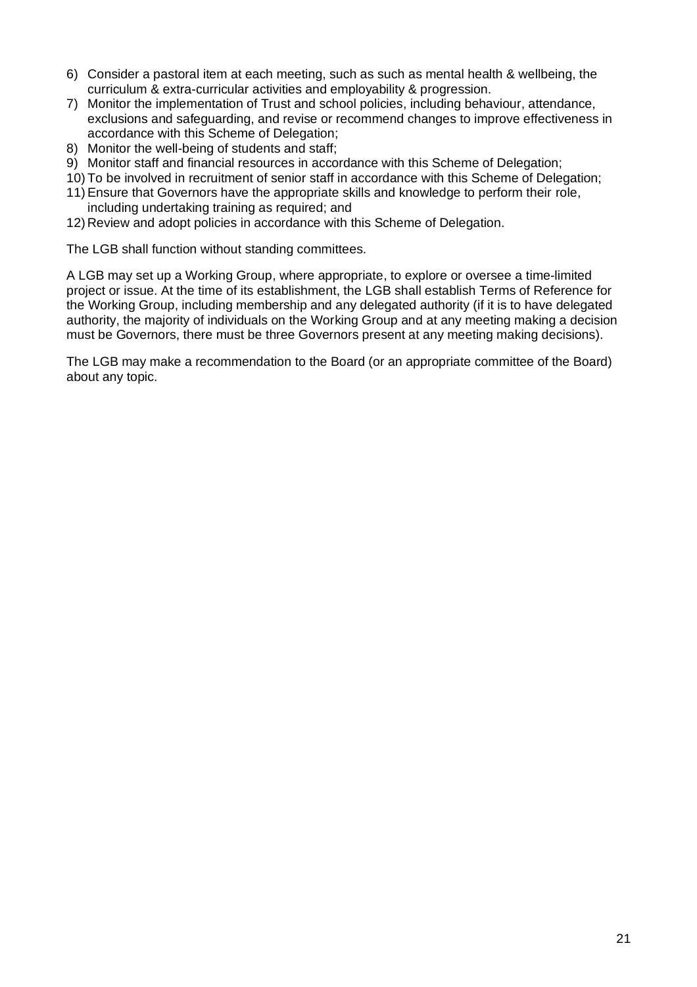- 6) Consider a pastoral item at each meeting, such as such as mental health & wellbeing, the curriculum & extra-curricular activities and employability & progression.
- 7) Monitor the implementation of Trust and school policies, including behaviour, attendance, exclusions and safeguarding, and revise or recommend changes to improve effectiveness in accordance with this Scheme of Delegation;
- 8) Monitor the well-being of students and staff;
- 9) Monitor staff and financial resources in accordance with this Scheme of Delegation;
- 10) To be involved in recruitment of senior staff in accordance with this Scheme of Delegation;
- 11) Ensure that Governors have the appropriate skills and knowledge to perform their role, including undertaking training as required; and
- 12)Review and adopt policies in accordance with this Scheme of Delegation.

The LGB shall function without standing committees.

A LGB may set up a Working Group, where appropriate, to explore or oversee a time-limited project or issue. At the time of its establishment, the LGB shall establish Terms of Reference for the Working Group, including membership and any delegated authority (if it is to have delegated authority, the majority of individuals on the Working Group and at any meeting making a decision must be Governors, there must be three Governors present at any meeting making decisions).

The LGB may make a recommendation to the Board (or an appropriate committee of the Board) about any topic.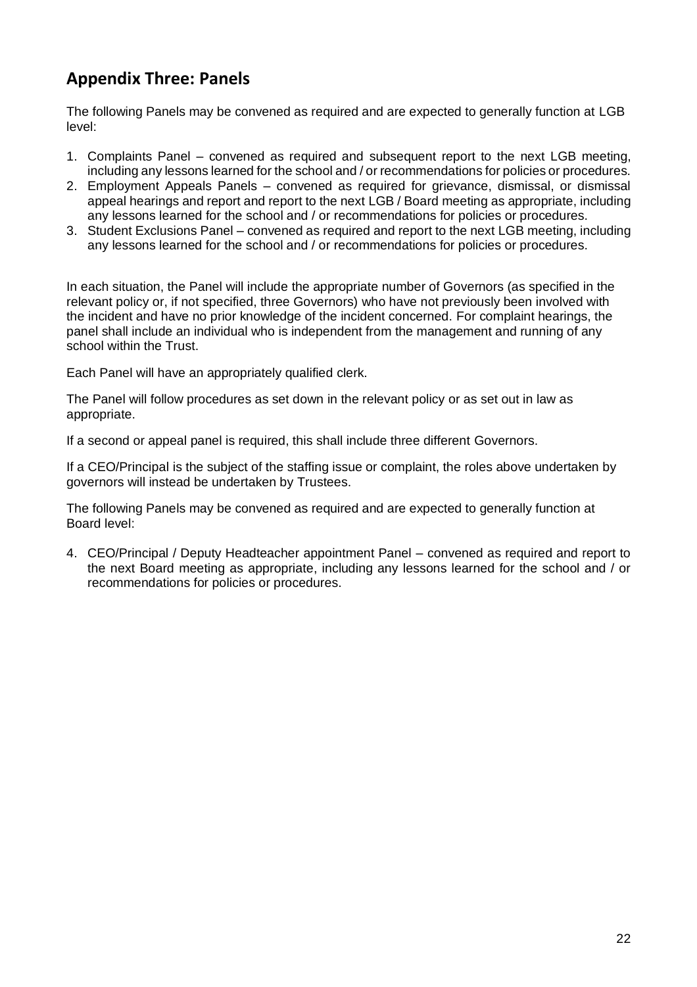# **Appendix Three: Panels**

The following Panels may be convened as required and are expected to generally function at LGB level:

- 1. Complaints Panel convened as required and subsequent report to the next LGB meeting, including any lessons learned for the school and / or recommendations for policies or procedures.
- 2. Employment Appeals Panels convened as required for grievance, dismissal, or dismissal appeal hearings and report and report to the next LGB / Board meeting as appropriate, including any lessons learned for the school and / or recommendations for policies or procedures.
- 3. Student Exclusions Panel convened as required and report to the next LGB meeting, including any lessons learned for the school and / or recommendations for policies or procedures.

In each situation, the Panel will include the appropriate number of Governors (as specified in the relevant policy or, if not specified, three Governors) who have not previously been involved with the incident and have no prior knowledge of the incident concerned. For complaint hearings, the panel shall include an individual who is independent from the management and running of any school within the Trust.

Each Panel will have an appropriately qualified clerk.

The Panel will follow procedures as set down in the relevant policy or as set out in law as appropriate.

If a second or appeal panel is required, this shall include three different Governors.

If a CEO/Principal is the subject of the staffing issue or complaint, the roles above undertaken by governors will instead be undertaken by Trustees.

The following Panels may be convened as required and are expected to generally function at Board level:

4. CEO/Principal / Deputy Headteacher appointment Panel – convened as required and report to the next Board meeting as appropriate, including any lessons learned for the school and / or recommendations for policies or procedures.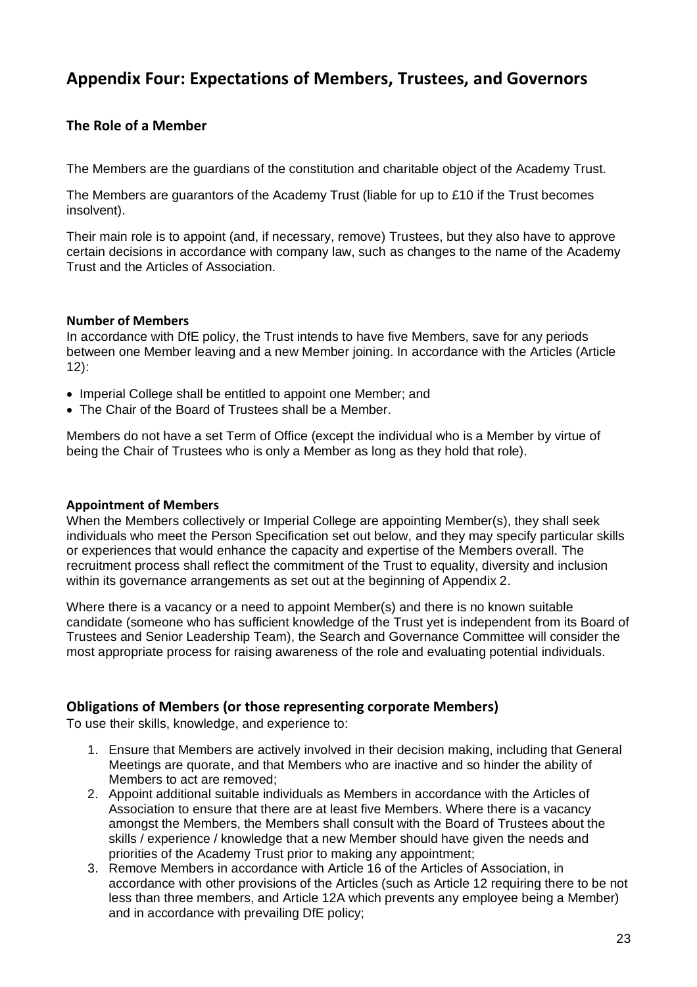# **Appendix Four: Expectations of Members, Trustees, and Governors**

# **The Role of a Member**

The Members are the guardians of the constitution and charitable object of the Academy Trust.

The Members are guarantors of the Academy Trust (liable for up to £10 if the Trust becomes insolvent).

Their main role is to appoint (and, if necessary, remove) Trustees, but they also have to approve certain decisions in accordance with company law, such as changes to the name of the Academy Trust and the Articles of Association.

#### **Number of Members**

In accordance with DfE policy, the Trust intends to have five Members, save for any periods between one Member leaving and a new Member joining. In accordance with the Articles (Article 12):

- Imperial College shall be entitled to appoint one Member; and
- The Chair of the Board of Trustees shall be a Member.

Members do not have a set Term of Office (except the individual who is a Member by virtue of being the Chair of Trustees who is only a Member as long as they hold that role).

#### **Appointment of Members**

When the Members collectively or Imperial College are appointing Member(s), they shall seek individuals who meet the Person Specification set out below, and they may specify particular skills or experiences that would enhance the capacity and expertise of the Members overall. The recruitment process shall reflect the commitment of the Trust to equality, diversity and inclusion within its governance arrangements as set out at the beginning of Appendix 2.

Where there is a vacancy or a need to appoint Member(s) and there is no known suitable candidate (someone who has sufficient knowledge of the Trust yet is independent from its Board of Trustees and Senior Leadership Team), the Search and Governance Committee will consider the most appropriate process for raising awareness of the role and evaluating potential individuals.

#### **Obligations of Members (or those representing corporate Members)**

To use their skills, knowledge, and experience to:

- 1. Ensure that Members are actively involved in their decision making, including that General Meetings are quorate, and that Members who are inactive and so hinder the ability of Members to act are removed;
- 2. Appoint additional suitable individuals as Members in accordance with the Articles of Association to ensure that there are at least five Members. Where there is a vacancy amongst the Members, the Members shall consult with the Board of Trustees about the skills / experience / knowledge that a new Member should have given the needs and priorities of the Academy Trust prior to making any appointment;
- 3. Remove Members in accordance with Article 16 of the Articles of Association, in accordance with other provisions of the Articles (such as Article 12 requiring there to be not less than three members, and Article 12A which prevents any employee being a Member) and in accordance with prevailing DfE policy;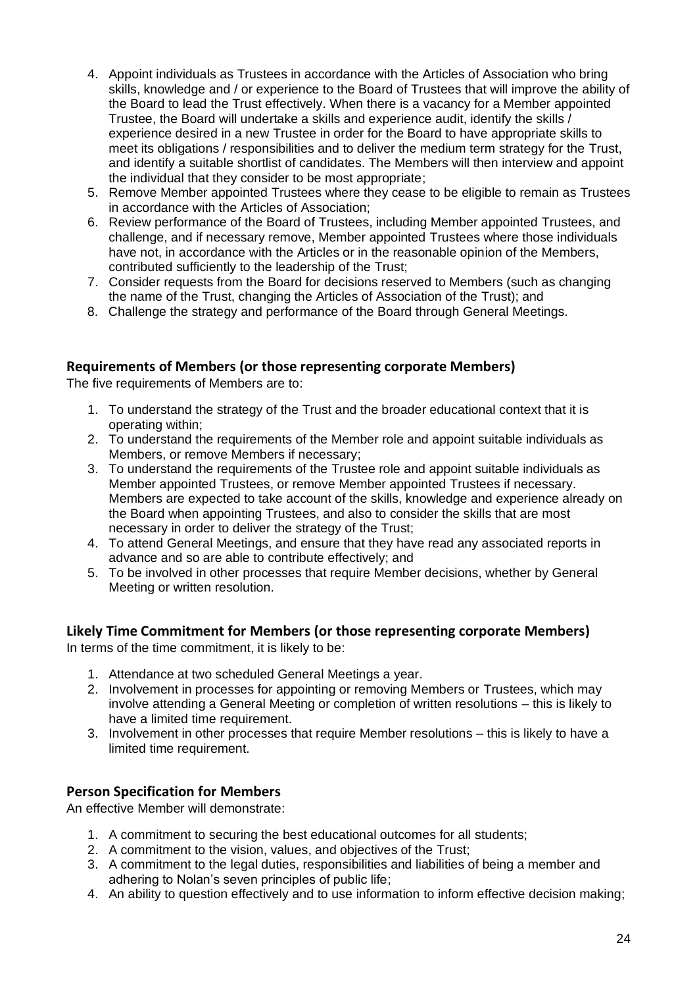- 4. Appoint individuals as Trustees in accordance with the Articles of Association who bring skills, knowledge and / or experience to the Board of Trustees that will improve the ability of the Board to lead the Trust effectively. When there is a vacancy for a Member appointed Trustee, the Board will undertake a skills and experience audit, identify the skills / experience desired in a new Trustee in order for the Board to have appropriate skills to meet its obligations / responsibilities and to deliver the medium term strategy for the Trust, and identify a suitable shortlist of candidates. The Members will then interview and appoint the individual that they consider to be most appropriate;
- 5. Remove Member appointed Trustees where they cease to be eligible to remain as Trustees in accordance with the Articles of Association;
- 6. Review performance of the Board of Trustees, including Member appointed Trustees, and challenge, and if necessary remove, Member appointed Trustees where those individuals have not, in accordance with the Articles or in the reasonable opinion of the Members, contributed sufficiently to the leadership of the Trust;
- 7. Consider requests from the Board for decisions reserved to Members (such as changing the name of the Trust, changing the Articles of Association of the Trust); and
- 8. Challenge the strategy and performance of the Board through General Meetings.

#### **Requirements of Members (or those representing corporate Members)**

The five requirements of Members are to:

- 1. To understand the strategy of the Trust and the broader educational context that it is operating within;
- 2. To understand the requirements of the Member role and appoint suitable individuals as Members, or remove Members if necessary;
- 3. To understand the requirements of the Trustee role and appoint suitable individuals as Member appointed Trustees, or remove Member appointed Trustees if necessary. Members are expected to take account of the skills, knowledge and experience already on the Board when appointing Trustees, and also to consider the skills that are most necessary in order to deliver the strategy of the Trust;
- 4. To attend General Meetings, and ensure that they have read any associated reports in advance and so are able to contribute effectively; and
- 5. To be involved in other processes that require Member decisions, whether by General Meeting or written resolution.

# **Likely Time Commitment for Members (or those representing corporate Members)**

In terms of the time commitment, it is likely to be:

- 1. Attendance at two scheduled General Meetings a year.
- 2. Involvement in processes for appointing or removing Members or Trustees, which may involve attending a General Meeting or completion of written resolutions – this is likely to have a limited time requirement.
- 3. Involvement in other processes that require Member resolutions this is likely to have a limited time requirement.

# **Person Specification for Members**

An effective Member will demonstrate:

- 1. A commitment to securing the best educational outcomes for all students;
- 2. A commitment to the vision, values, and objectives of the Trust;
- 3. A commitment to the legal duties, responsibilities and liabilities of being a member and adhering to Nolan's seven principles of public life;
- 4. An ability to question effectively and to use information to inform effective decision making;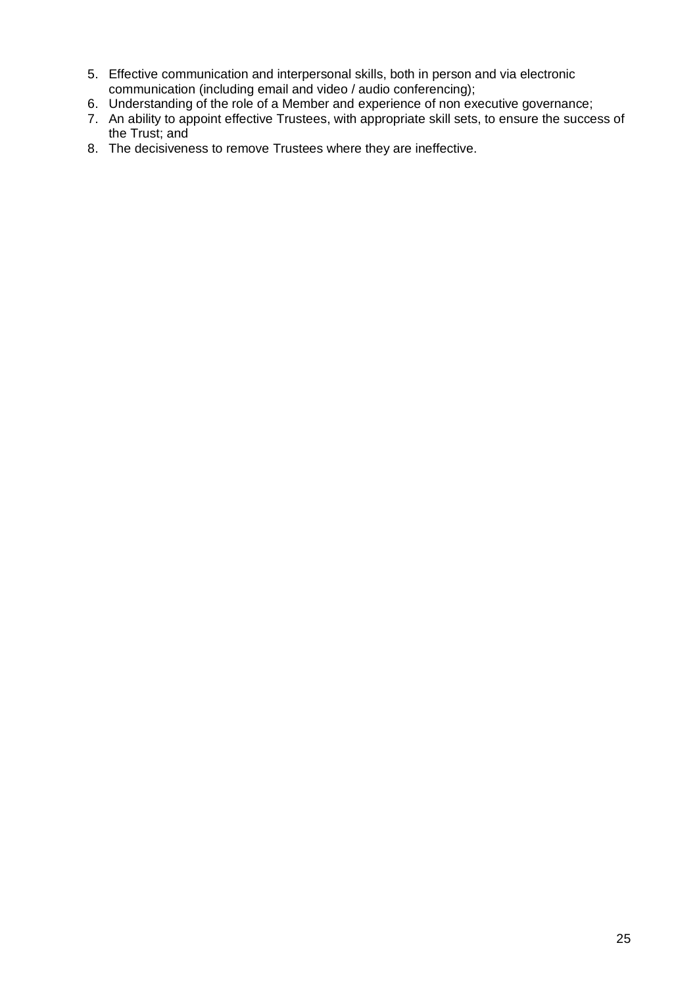- 5. Effective communication and interpersonal skills, both in person and via electronic communication (including email and video / audio conferencing);
- 6. Understanding of the role of a Member and experience of non executive governance;
- 7. An ability to appoint effective Trustees, with appropriate skill sets, to ensure the success of the Trust; and
- 8. The decisiveness to remove Trustees where they are ineffective.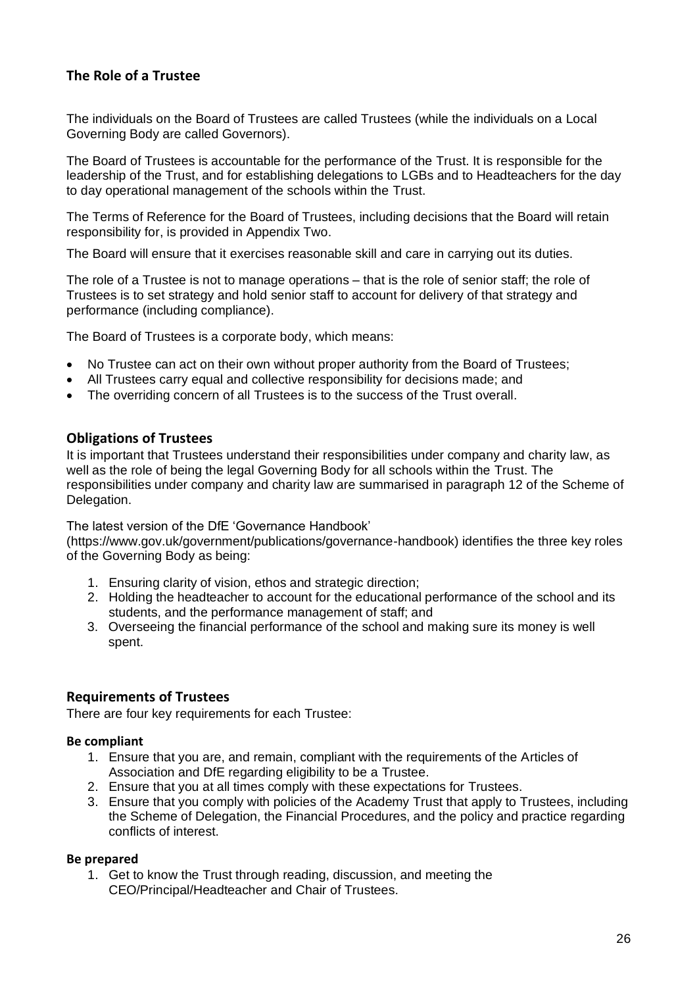# **The Role of a Trustee**

The individuals on the Board of Trustees are called Trustees (while the individuals on a Local Governing Body are called Governors).

The Board of Trustees is accountable for the performance of the Trust. It is responsible for the leadership of the Trust, and for establishing delegations to LGBs and to Headteachers for the day to day operational management of the schools within the Trust.

The Terms of Reference for the Board of Trustees, including decisions that the Board will retain responsibility for, is provided in Appendix Two.

The Board will ensure that it exercises reasonable skill and care in carrying out its duties.

The role of a Trustee is not to manage operations – that is the role of senior staff; the role of Trustees is to set strategy and hold senior staff to account for delivery of that strategy and performance (including compliance).

The Board of Trustees is a corporate body, which means:

- No Trustee can act on their own without proper authority from the Board of Trustees;
- All Trustees carry equal and collective responsibility for decisions made; and
- The overriding concern of all Trustees is to the success of the Trust overall.

#### **Obligations of Trustees**

It is important that Trustees understand their responsibilities under company and charity law, as well as the role of being the legal Governing Body for all schools within the Trust. The responsibilities under company and charity law are summarised in paragraph 12 of the Scheme of Delegation.

The latest version of the DfE 'Governance Handbook'

[\(https://www.gov.uk/government/publications/governance-handbook\)](https://www.gov.uk/government/publications/governance-handbook)) identifies the three key roles of the Governing Body as being:

- 1. Ensuring clarity of vision, ethos and strategic direction;
- 2. Holding the headteacher to account for the educational performance of the school and its students, and the performance management of staff; and
- 3. Overseeing the financial performance of the school and making sure its money is well spent.

# **Requirements of Trustees**

There are four key requirements for each Trustee:

#### **Be compliant**

- 1. Ensure that you are, and remain, compliant with the requirements of the Articles of Association and DfE regarding eligibility to be a Trustee.
- 2. Ensure that you at all times comply with these expectations for Trustees.
- 3. Ensure that you comply with policies of the Academy Trust that apply to Trustees, including the Scheme of Delegation, the Financial Procedures, and the policy and practice regarding conflicts of interest.

#### **Be prepared**

1. Get to know the Trust through reading, discussion, and meeting the CEO/Principal/Headteacher and Chair of Trustees.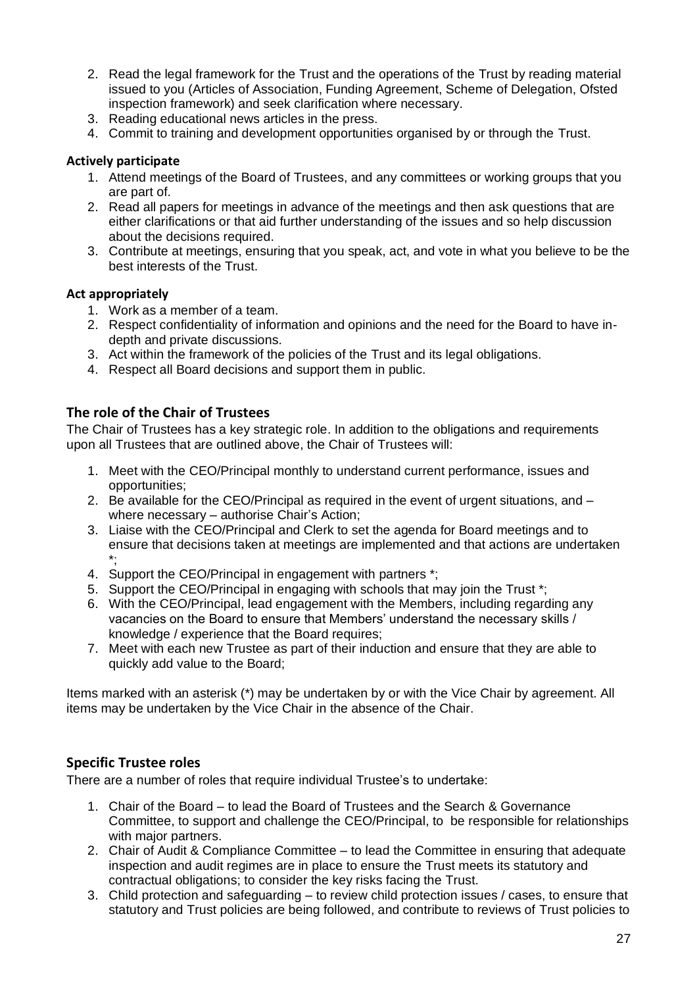- 2. Read the legal framework for the Trust and the operations of the Trust by reading material issued to you (Articles of Association, Funding Agreement, Scheme of Delegation, Ofsted inspection framework) and seek clarification where necessary.
- 3. Reading educational news articles in the press.
- 4. Commit to training and development opportunities organised by or through the Trust.

#### **Actively participate**

- 1. Attend meetings of the Board of Trustees, and any committees or working groups that you are part of.
- 2. Read all papers for meetings in advance of the meetings and then ask questions that are either clarifications or that aid further understanding of the issues and so help discussion about the decisions required.
- 3. Contribute at meetings, ensuring that you speak, act, and vote in what you believe to be the best interests of the Trust.

#### **Act appropriately**

- 1. Work as a member of a team.
- 2. Respect confidentiality of information and opinions and the need for the Board to have indepth and private discussions.
- 3. Act within the framework of the policies of the Trust and its legal obligations.
- 4. Respect all Board decisions and support them in public.

# **The role of the Chair of Trustees**

The Chair of Trustees has a key strategic role. In addition to the obligations and requirements upon all Trustees that are outlined above, the Chair of Trustees will:

- 1. Meet with the CEO/Principal monthly to understand current performance, issues and opportunities;
- 2. Be available for the CEO/Principal as required in the event of urgent situations, and where necessary – authorise Chair's Action;
- 3. Liaise with the CEO/Principal and Clerk to set the agenda for Board meetings and to ensure that decisions taken at meetings are implemented and that actions are undertaken \*;
- 4. Support the CEO/Principal in engagement with partners \*;
- 5. Support the CEO/Principal in engaging with schools that may join the Trust \*;
- 6. With the CEO/Principal, lead engagement with the Members, including regarding any vacancies on the Board to ensure that Members' understand the necessary skills / knowledge / experience that the Board requires;
- 7. Meet with each new Trustee as part of their induction and ensure that they are able to quickly add value to the Board;

Items marked with an asterisk (\*) may be undertaken by or with the Vice Chair by agreement. All items may be undertaken by the Vice Chair in the absence of the Chair.

# **Specific Trustee roles**

There are a number of roles that require individual Trustee's to undertake:

- 1. Chair of the Board to lead the Board of Trustees and the Search & Governance Committee, to support and challenge the CEO/Principal, to be responsible for relationships with major partners.
- 2. Chair of Audit & Compliance Committee to lead the Committee in ensuring that adequate inspection and audit regimes are in place to ensure the Trust meets its statutory and contractual obligations; to consider the key risks facing the Trust.
- 3. Child protection and safeguarding to review child protection issues / cases, to ensure that statutory and Trust policies are being followed, and contribute to reviews of Trust policies to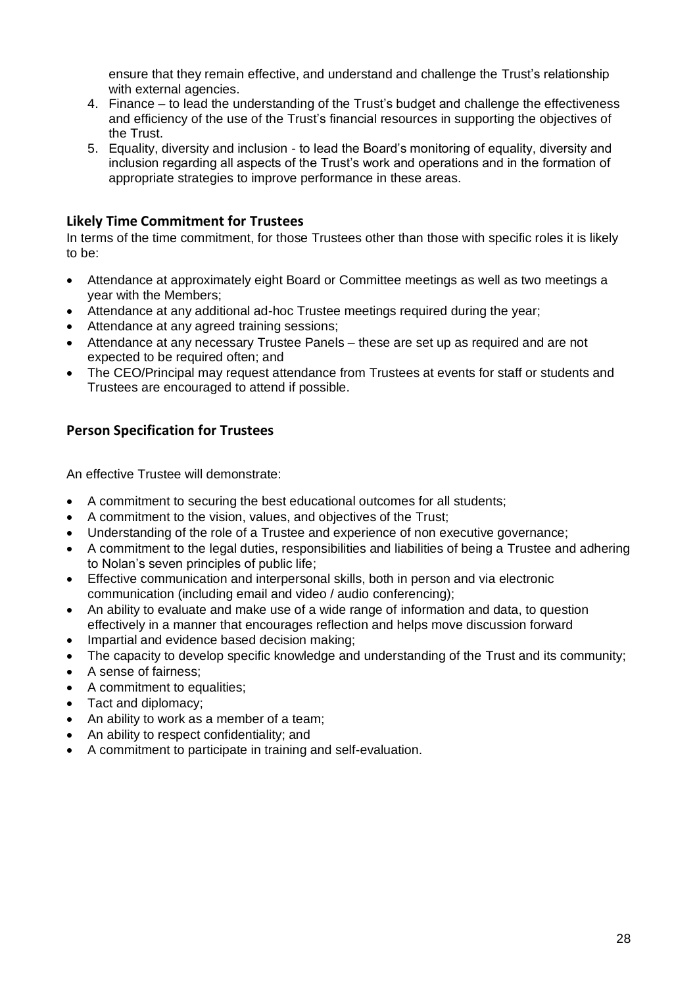ensure that they remain effective, and understand and challenge the Trust's relationship with external agencies.

- 4. Finance to lead the understanding of the Trust's budget and challenge the effectiveness and efficiency of the use of the Trust's financial resources in supporting the objectives of the Trust.
- 5. Equality, diversity and inclusion to lead the Board's monitoring of equality, diversity and inclusion regarding all aspects of the Trust's work and operations and in the formation of appropriate strategies to improve performance in these areas.

# **Likely Time Commitment for Trustees**

In terms of the time commitment, for those Trustees other than those with specific roles it is likely to be:

- Attendance at approximately eight Board or Committee meetings as well as two meetings a year with the Members;
- Attendance at any additional ad-hoc Trustee meetings required during the year;
- Attendance at any agreed training sessions;
- Attendance at any necessary Trustee Panels these are set up as required and are not expected to be required often; and
- The CEO/Principal may request attendance from Trustees at events for staff or students and Trustees are encouraged to attend if possible.

# **Person Specification for Trustees**

An effective Trustee will demonstrate:

- A commitment to securing the best educational outcomes for all students;
- A commitment to the vision, values, and objectives of the Trust;
- Understanding of the role of a Trustee and experience of non executive governance;
- A commitment to the legal duties, responsibilities and liabilities of being a Trustee and adhering to Nolan's seven principles of public life;
- Effective communication and interpersonal skills, both in person and via electronic communication (including email and video / audio conferencing);
- An ability to evaluate and make use of a wide range of information and data, to question effectively in a manner that encourages reflection and helps move discussion forward
- Impartial and evidence based decision making;
- The capacity to develop specific knowledge and understanding of the Trust and its community:
- A sense of fairness;
- A commitment to equalities:
- Tact and diplomacy;
- An ability to work as a member of a team;
- An ability to respect confidentiality; and
- A commitment to participate in training and self-evaluation.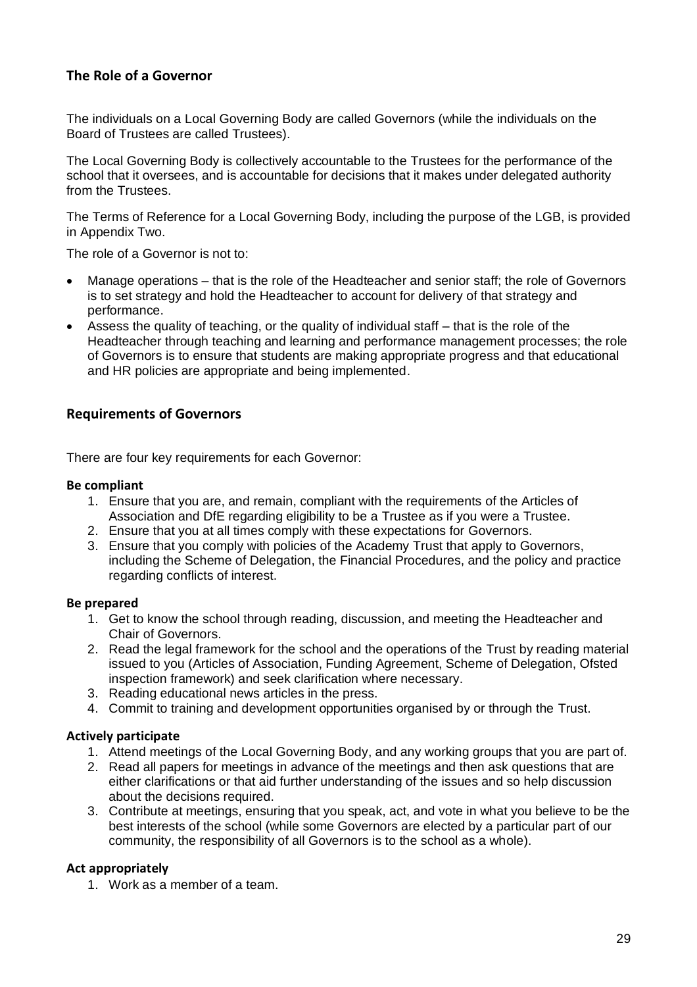# **The Role of a Governor**

The individuals on a Local Governing Body are called Governors (while the individuals on the Board of Trustees are called Trustees).

The Local Governing Body is collectively accountable to the Trustees for the performance of the school that it oversees, and is accountable for decisions that it makes under delegated authority from the Trustees.

The Terms of Reference for a Local Governing Body, including the purpose of the LGB, is provided in Appendix Two.

The role of a Governor is not to:

- Manage operations that is the role of the Headteacher and senior staff; the role of Governors is to set strategy and hold the Headteacher to account for delivery of that strategy and performance.
- Assess the quality of teaching, or the quality of individual staff that is the role of the Headteacher through teaching and learning and performance management processes; the role of Governors is to ensure that students are making appropriate progress and that educational and HR policies are appropriate and being implemented.

#### **Requirements of Governors**

There are four key requirements for each Governor:

#### **Be compliant**

- 1. Ensure that you are, and remain, compliant with the requirements of the Articles of Association and DfE regarding eligibility to be a Trustee as if you were a Trustee.
- 2. Ensure that you at all times comply with these expectations for Governors.
- 3. Ensure that you comply with policies of the Academy Trust that apply to Governors, including the Scheme of Delegation, the Financial Procedures, and the policy and practice regarding conflicts of interest.

#### **Be prepared**

- 1. Get to know the school through reading, discussion, and meeting the Headteacher and Chair of Governors.
- 2. Read the legal framework for the school and the operations of the Trust by reading material issued to you (Articles of Association, Funding Agreement, Scheme of Delegation, Ofsted inspection framework) and seek clarification where necessary.
- 3. Reading educational news articles in the press.
- 4. Commit to training and development opportunities organised by or through the Trust.

#### **Actively participate**

- 1. Attend meetings of the Local Governing Body, and any working groups that you are part of.
- 2. Read all papers for meetings in advance of the meetings and then ask questions that are either clarifications or that aid further understanding of the issues and so help discussion about the decisions required.
- 3. Contribute at meetings, ensuring that you speak, act, and vote in what you believe to be the best interests of the school (while some Governors are elected by a particular part of our community, the responsibility of all Governors is to the school as a whole).

#### **Act appropriately**

1. Work as a member of a team.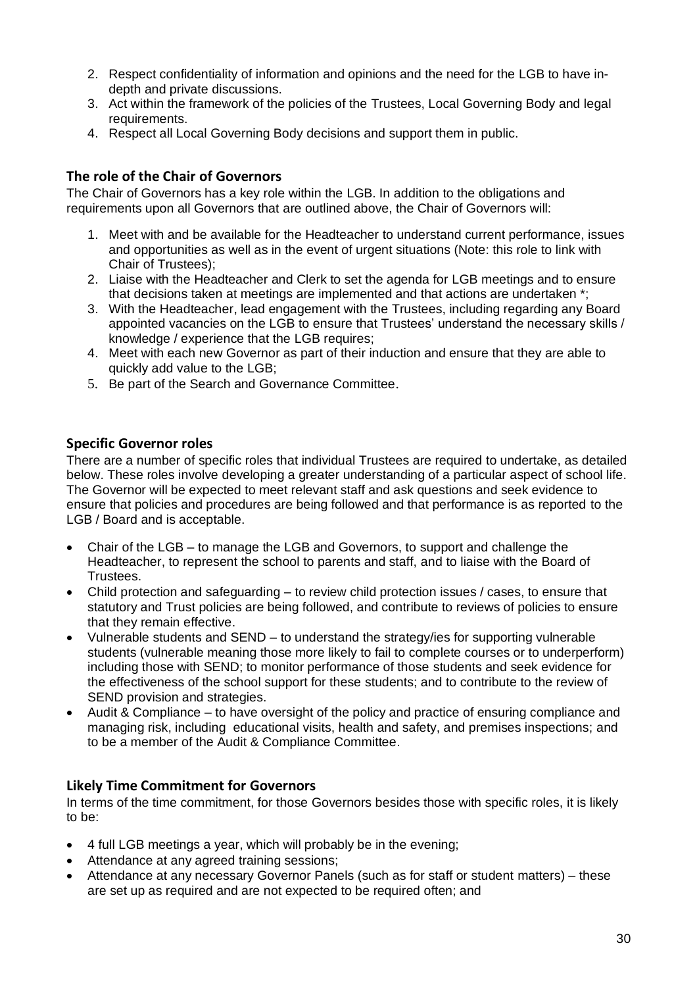- 2. Respect confidentiality of information and opinions and the need for the LGB to have indepth and private discussions.
- 3. Act within the framework of the policies of the Trustees, Local Governing Body and legal requirements.
- 4. Respect all Local Governing Body decisions and support them in public.

# **The role of the Chair of Governors**

The Chair of Governors has a key role within the LGB. In addition to the obligations and requirements upon all Governors that are outlined above, the Chair of Governors will:

- 1. Meet with and be available for the Headteacher to understand current performance, issues and opportunities as well as in the event of urgent situations (Note: this role to link with Chair of Trustees);
- 2. Liaise with the Headteacher and Clerk to set the agenda for LGB meetings and to ensure that decisions taken at meetings are implemented and that actions are undertaken \*;
- 3. With the Headteacher, lead engagement with the Trustees, including regarding any Board appointed vacancies on the LGB to ensure that Trustees' understand the necessary skills / knowledge / experience that the LGB requires;
- 4. Meet with each new Governor as part of their induction and ensure that they are able to quickly add value to the LGB;
- 5. Be part of the Search and Governance Committee.

# **Specific Governor roles**

There are a number of specific roles that individual Trustees are required to undertake, as detailed below. These roles involve developing a greater understanding of a particular aspect of school life. The Governor will be expected to meet relevant staff and ask questions and seek evidence to ensure that policies and procedures are being followed and that performance is as reported to the LGB / Board and is acceptable.

- Chair of the LGB to manage the LGB and Governors, to support and challenge the Headteacher, to represent the school to parents and staff, and to liaise with the Board of Trustees.
- Child protection and safeguarding to review child protection issues / cases, to ensure that statutory and Trust policies are being followed, and contribute to reviews of policies to ensure that they remain effective.
- Vulnerable students and SEND to understand the strategy/ies for supporting vulnerable students (vulnerable meaning those more likely to fail to complete courses or to underperform) including those with SEND; to monitor performance of those students and seek evidence for the effectiveness of the school support for these students; and to contribute to the review of SEND provision and strategies.
- Audit & Compliance to have oversight of the policy and practice of ensuring compliance and managing risk, including educational visits, health and safety, and premises inspections; and to be a member of the Audit & Compliance Committee.

# **Likely Time Commitment for Governors**

In terms of the time commitment, for those Governors besides those with specific roles, it is likely to be:

- 4 full LGB meetings a year, which will probably be in the evening;
- Attendance at any agreed training sessions;
- Attendance at any necessary Governor Panels (such as for staff or student matters) these are set up as required and are not expected to be required often; and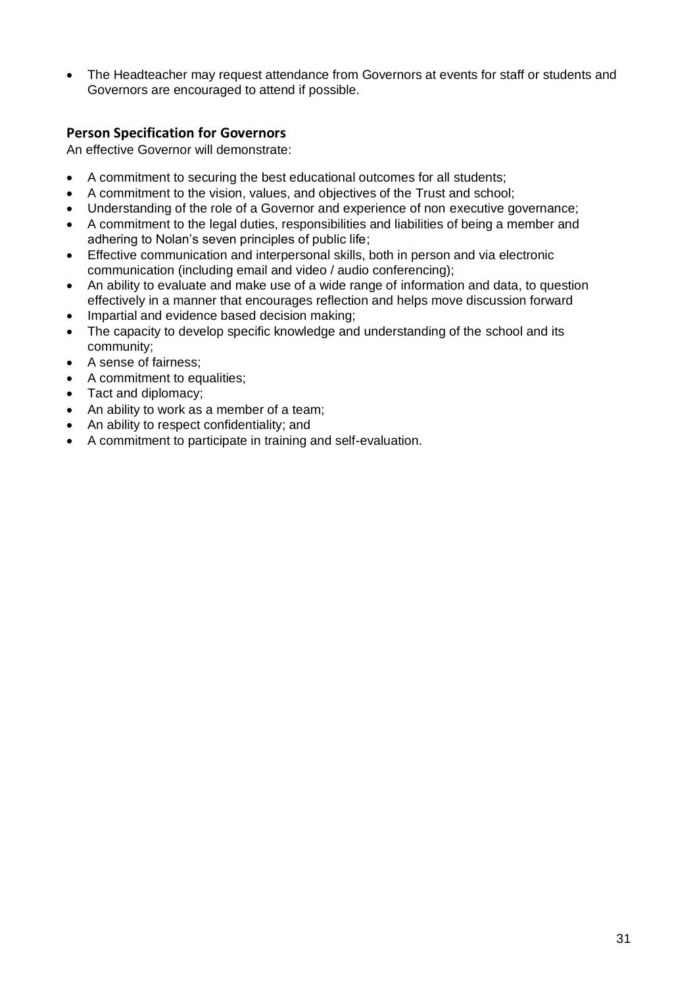• The Headteacher may request attendance from Governors at events for staff or students and Governors are encouraged to attend if possible.

# **Person Specification for Governors**

An effective Governor will demonstrate:

- A commitment to securing the best educational outcomes for all students;
- A commitment to the vision, values, and objectives of the Trust and school;
- Understanding of the role of a Governor and experience of non executive governance;
- A commitment to the legal duties, responsibilities and liabilities of being a member and adhering to Nolan's seven principles of public life;
- Effective communication and interpersonal skills, both in person and via electronic communication (including email and video / audio conferencing);
- An ability to evaluate and make use of a wide range of information and data, to question effectively in a manner that encourages reflection and helps move discussion forward
- Impartial and evidence based decision making;
- The capacity to develop specific knowledge and understanding of the school and its community;
- A sense of fairness;
- A commitment to equalities;
- Tact and diplomacy;
- An ability to work as a member of a team;
- An ability to respect confidentiality; and
- A commitment to participate in training and self-evaluation.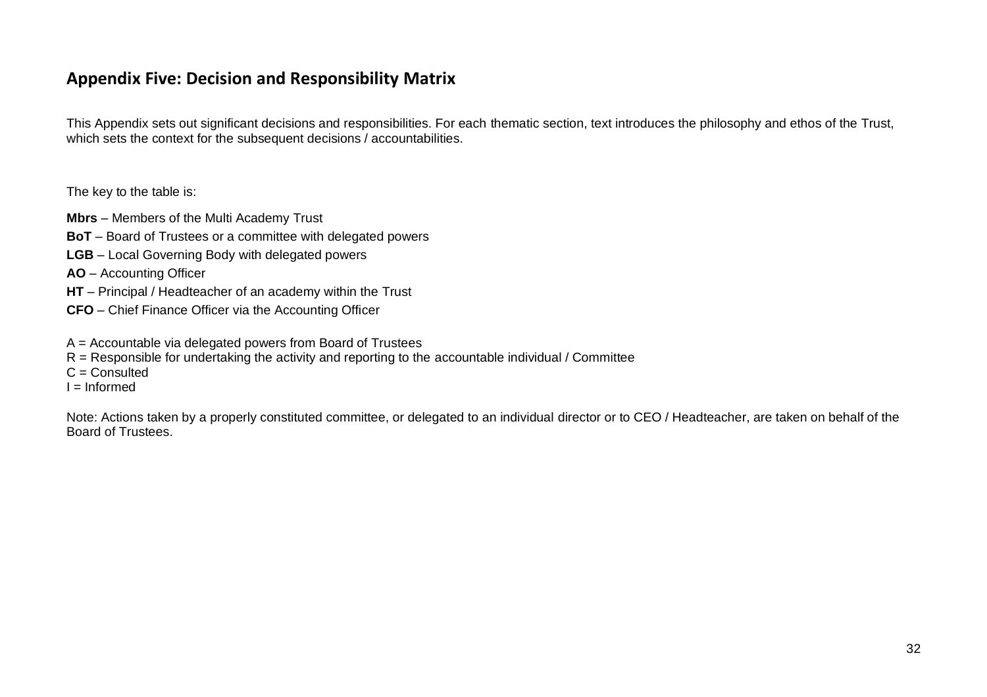# **Appendix Five: Decision and Responsibility Matrix**

This Appendix sets out significant decisions and responsibilities. For each thematic section, text introduces the philosophy and ethos of the Trust, which sets the context for the subsequent decisions / accountabilities.

The key to the table is:

- **Mbrs**  Members of the Multi Academy Trust
- **BoT** Board of Trustees or a committee with delegated powers
- **LGB** Local Governing Body with delegated powers
- **AO**  Accounting Officer
- **HT** Principal / Headteacher of an academy within the Trust
- **CFO**  Chief Finance Officer via the Accounting Officer
- A = Accountable via delegated powers from Board of Trustees
- $R =$  Responsible for undertaking the activity and reporting to the accountable individual / Committee
- $C =$  Consulted
- $I = Informed$

Note: Actions taken by a properly constituted committee, or delegated to an individual director or to CEO / Headteacher, are taken on behalf of the Board of Trustees.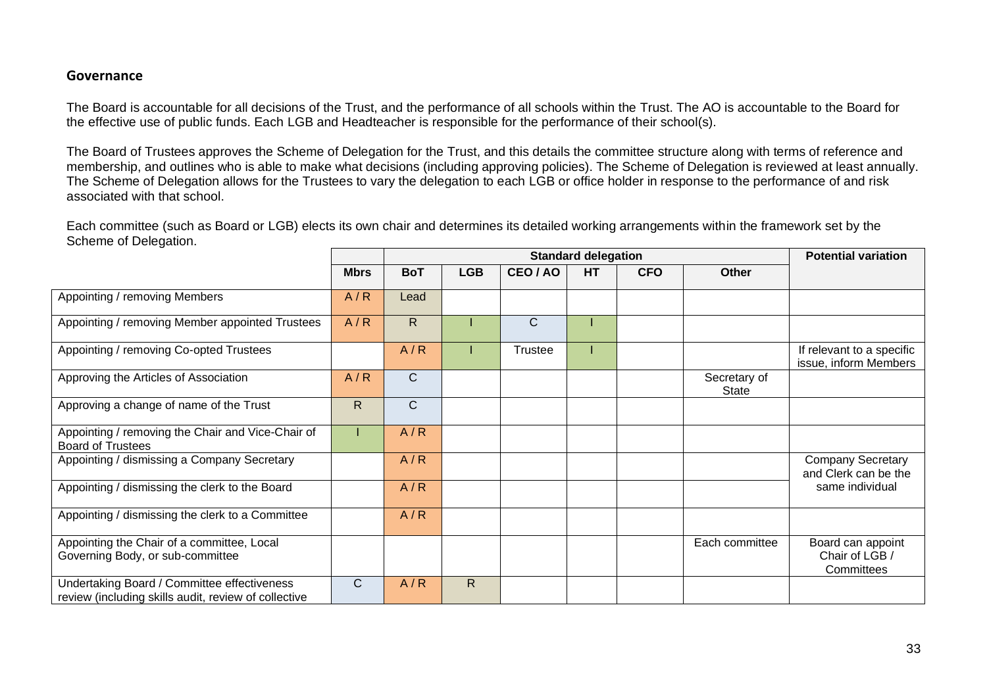#### **Governance**

The Board is accountable for all decisions of the Trust, and the performance of all schools within the Trust. The AO is accountable to the Board for the effective use of public funds. Each LGB and Headteacher is responsible for the performance of their school(s).

The Board of Trustees approves the Scheme of Delegation for the Trust, and this details the committee structure along with terms of reference and membership, and outlines who is able to make what decisions (including approving policies). The Scheme of Delegation is reviewed at least annually. The Scheme of Delegation allows for the Trustees to vary the delegation to each LGB or office holder in response to the performance of and risk associated with that school.

Each committee (such as Board or LGB) elects its own chair and determines its detailed working arrangements within the framework set by the Scheme of Delegation.

|                                                                                                     |             |              |            | <b>Potential variation</b> |           |            |                       |                                                    |
|-----------------------------------------------------------------------------------------------------|-------------|--------------|------------|----------------------------|-----------|------------|-----------------------|----------------------------------------------------|
|                                                                                                     | <b>Mbrs</b> | <b>BoT</b>   | <b>LGB</b> | CEO/AO                     | <b>HT</b> | <b>CFO</b> | <b>Other</b>          |                                                    |
| Appointing / removing Members                                                                       | A/R         | Lead         |            |                            |           |            |                       |                                                    |
| Appointing / removing Member appointed Trustees                                                     | A/R         | $\mathsf{R}$ |            | $\mathsf{C}$               |           |            |                       |                                                    |
| Appointing / removing Co-opted Trustees                                                             |             | A/R          |            | <b>Trustee</b>             |           |            |                       | If relevant to a specific<br>issue, inform Members |
| Approving the Articles of Association                                                               | A/R         | $\mathsf C$  |            |                            |           |            | Secretary of<br>State |                                                    |
| Approving a change of name of the Trust                                                             | R           | C            |            |                            |           |            |                       |                                                    |
| Appointing / removing the Chair and Vice-Chair of<br><b>Board of Trustees</b>                       |             | A/R          |            |                            |           |            |                       |                                                    |
| Appointing / dismissing a Company Secretary                                                         |             | A/R          |            |                            |           |            |                       | <b>Company Secretary</b><br>and Clerk can be the   |
| Appointing / dismissing the clerk to the Board                                                      |             | A/R          |            |                            |           |            |                       | same individual                                    |
| Appointing / dismissing the clerk to a Committee                                                    |             | A/R          |            |                            |           |            |                       |                                                    |
| Appointing the Chair of a committee, Local<br>Governing Body, or sub-committee                      |             |              |            |                            |           |            | Each committee        | Board can appoint<br>Chair of LGB /<br>Committees  |
| Undertaking Board / Committee effectiveness<br>review (including skills audit, review of collective | C           | A/R          | R.         |                            |           |            |                       |                                                    |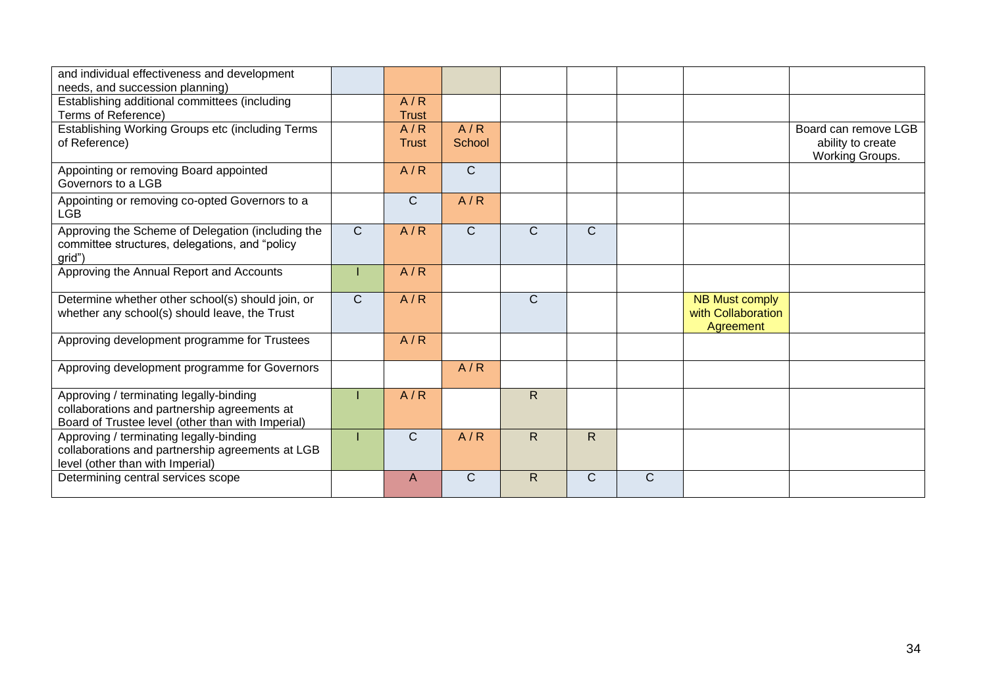| and individual effectiveness and development<br>needs, and succession planning)                                                              |              |                     |               |              |              |              |                                                          |                                                                     |
|----------------------------------------------------------------------------------------------------------------------------------------------|--------------|---------------------|---------------|--------------|--------------|--------------|----------------------------------------------------------|---------------------------------------------------------------------|
| Establishing additional committees (including<br>Terms of Reference)                                                                         |              | A/R<br><b>Trust</b> |               |              |              |              |                                                          |                                                                     |
| Establishing Working Groups etc (including Terms<br>of Reference)                                                                            |              | A/R<br>Trust        | A/R<br>School |              |              |              |                                                          | Board can remove LGB<br>ability to create<br><b>Working Groups.</b> |
| Appointing or removing Board appointed<br>Governors to a LGB                                                                                 |              | A/R                 | $\mathsf{C}$  |              |              |              |                                                          |                                                                     |
| Appointing or removing co-opted Governors to a<br>LGB                                                                                        |              | $\mathsf{C}$        | A/R           |              |              |              |                                                          |                                                                     |
| Approving the Scheme of Delegation (including the<br>committee structures, delegations, and "policy<br>grid")                                | $\mathsf{C}$ | A/R                 | $\mathsf{C}$  | $\mathsf{C}$ | $\mathsf{C}$ |              |                                                          |                                                                     |
| Approving the Annual Report and Accounts                                                                                                     |              | A/R                 |               |              |              |              |                                                          |                                                                     |
| Determine whether other school(s) should join, or<br>whether any school(s) should leave, the Trust                                           | $\mathsf{C}$ | A/R                 |               | $\mathsf{C}$ |              |              | <b>NB Must comply</b><br>with Collaboration<br>Agreement |                                                                     |
| Approving development programme for Trustees                                                                                                 |              | A/R                 |               |              |              |              |                                                          |                                                                     |
| Approving development programme for Governors                                                                                                |              |                     | A/R           |              |              |              |                                                          |                                                                     |
| Approving / terminating legally-binding<br>collaborations and partnership agreements at<br>Board of Trustee level (other than with Imperial) |              | A/R                 |               | $\mathsf{R}$ |              |              |                                                          |                                                                     |
| Approving / terminating legally-binding<br>collaborations and partnership agreements at LGB<br>level (other than with Imperial)              |              | $\mathsf{C}$        | A/R           | $\mathsf{R}$ | $\mathsf{R}$ |              |                                                          |                                                                     |
| Determining central services scope                                                                                                           |              | A                   | C             | R            | $\mathsf{C}$ | $\mathsf{C}$ |                                                          |                                                                     |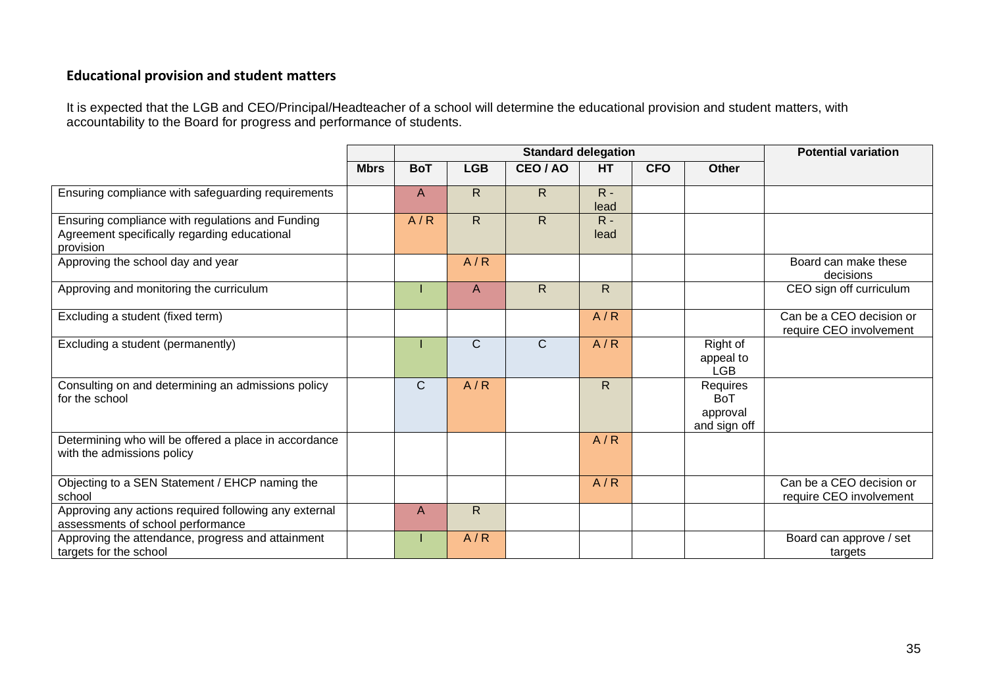# **Educational provision and student matters**

It is expected that the LGB and CEO/Principal/Headteacher of a school will determine the educational provision and student matters, with accountability to the Board for progress and performance of students.

|                                                                                                               |             |              |              | <b>Standard delegation</b> |               | <b>Potential variation</b> |                                                    |                                                     |
|---------------------------------------------------------------------------------------------------------------|-------------|--------------|--------------|----------------------------|---------------|----------------------------|----------------------------------------------------|-----------------------------------------------------|
|                                                                                                               | <b>Mbrs</b> | <b>BoT</b>   | <b>LGB</b>   | CEO/AO                     | <b>HT</b>     | <b>CFO</b>                 | <b>Other</b>                                       |                                                     |
| Ensuring compliance with safeguarding requirements                                                            |             | $\mathsf{A}$ | $\mathsf{R}$ | $\mathsf{R}$               | $R -$<br>lead |                            |                                                    |                                                     |
| Ensuring compliance with regulations and Funding<br>Agreement specifically regarding educational<br>provision |             | A/R          | $\mathsf{R}$ | $\mathsf{R}$               | $R -$<br>lead |                            |                                                    |                                                     |
| Approving the school day and year                                                                             |             |              | A/R          |                            |               |                            |                                                    | Board can make these<br>decisions                   |
| Approving and monitoring the curriculum                                                                       |             |              | A            | $\mathsf{R}$               | $\mathsf{R}$  |                            |                                                    | CEO sign off curriculum                             |
| Excluding a student (fixed term)                                                                              |             |              |              |                            | A/R           |                            |                                                    | Can be a CEO decision or<br>require CEO involvement |
| Excluding a student (permanently)                                                                             |             |              | $\mathsf{C}$ | $\mathsf{C}$               | A/R           |                            | Right of<br>appeal to<br><b>LGB</b>                |                                                     |
| Consulting on and determining an admissions policy<br>for the school                                          |             | $\mathsf{C}$ | A/R          |                            | $\mathsf{R}$  |                            | Requires<br><b>BoT</b><br>approval<br>and sign off |                                                     |
| Determining who will be offered a place in accordance<br>with the admissions policy                           |             |              |              |                            | A/R           |                            |                                                    |                                                     |
| Objecting to a SEN Statement / EHCP naming the<br>school                                                      |             |              |              |                            | A/R           |                            |                                                    | Can be a CEO decision or<br>require CEO involvement |
| Approving any actions required following any external<br>assessments of school performance                    |             | A            | R.           |                            |               |                            |                                                    |                                                     |
| Approving the attendance, progress and attainment<br>targets for the school                                   |             |              | A/R          |                            |               |                            |                                                    | Board can approve / set<br>targets                  |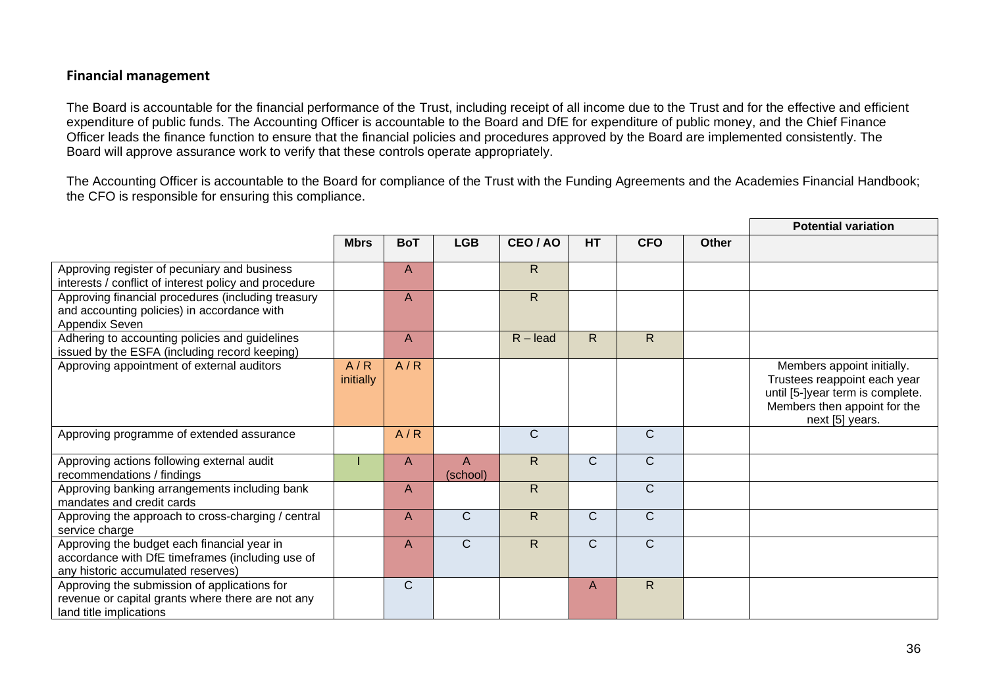# **Financial management**

The Board is accountable for the financial performance of the Trust, including receipt of all income due to the Trust and for the effective and efficient expenditure of public funds. The Accounting Officer is accountable to the Board and DfE for expenditure of public money, and the Chief Finance Officer leads the finance function to ensure that the financial policies and procedures approved by the Board are implemented consistently. The Board will approve assurance work to verify that these controls operate appropriately.

The Accounting Officer is accountable to the Board for compliance of the Trust with the Funding Agreements and the Academies Financial Handbook; the CFO is responsible for ensuring this compliance.

|                                                                                                                                       |                  |            |                          |              |              |              |       | <b>Potential variation</b>                                                                                                                        |
|---------------------------------------------------------------------------------------------------------------------------------------|------------------|------------|--------------------------|--------------|--------------|--------------|-------|---------------------------------------------------------------------------------------------------------------------------------------------------|
|                                                                                                                                       | <b>Mbrs</b>      | <b>BoT</b> | <b>LGB</b>               | CEO / AO     | HT           | <b>CFO</b>   | Other |                                                                                                                                                   |
| Approving register of pecuniary and business<br>interests / conflict of interest policy and procedure                                 |                  | A          |                          | $\mathsf{R}$ |              |              |       |                                                                                                                                                   |
| Approving financial procedures (including treasury<br>and accounting policies) in accordance with<br>Appendix Seven                   |                  | A          |                          | $\mathsf{R}$ |              |              |       |                                                                                                                                                   |
| Adhering to accounting policies and guidelines<br>issued by the ESFA (including record keeping)                                       |                  | A          |                          | $R -$ lead   | $\mathsf{R}$ | $\mathsf{R}$ |       |                                                                                                                                                   |
| Approving appointment of external auditors                                                                                            | A/R<br>initially | A/R        |                          |              |              |              |       | Members appoint initially.<br>Trustees reappoint each year<br>until [5-]year term is complete.<br>Members then appoint for the<br>next [5] years. |
| Approving programme of extended assurance                                                                                             |                  | A/R        |                          | $\mathsf{C}$ |              | $\mathsf{C}$ |       |                                                                                                                                                   |
| Approving actions following external audit<br>recommendations / findings                                                              |                  | A          | $\mathsf{A}$<br>(school) | R            | $\mathsf{C}$ | $\mathsf{C}$ |       |                                                                                                                                                   |
| Approving banking arrangements including bank<br>mandates and credit cards                                                            |                  | A          |                          | $\mathsf{R}$ |              | $\mathsf{C}$ |       |                                                                                                                                                   |
| Approving the approach to cross-charging / central<br>service charge                                                                  |                  | A          | $\mathsf{C}$             | $\mathsf{R}$ | C            | $\mathsf{C}$ |       |                                                                                                                                                   |
| Approving the budget each financial year in<br>accordance with DfE timeframes (including use of<br>any historic accumulated reserves) |                  | A          | $\mathsf{C}$             | $\mathsf{R}$ | $\mathsf{C}$ | $\mathsf{C}$ |       |                                                                                                                                                   |
| Approving the submission of applications for<br>revenue or capital grants where there are not any<br>land title implications          |                  | C          |                          |              | A            | $\mathsf{R}$ |       |                                                                                                                                                   |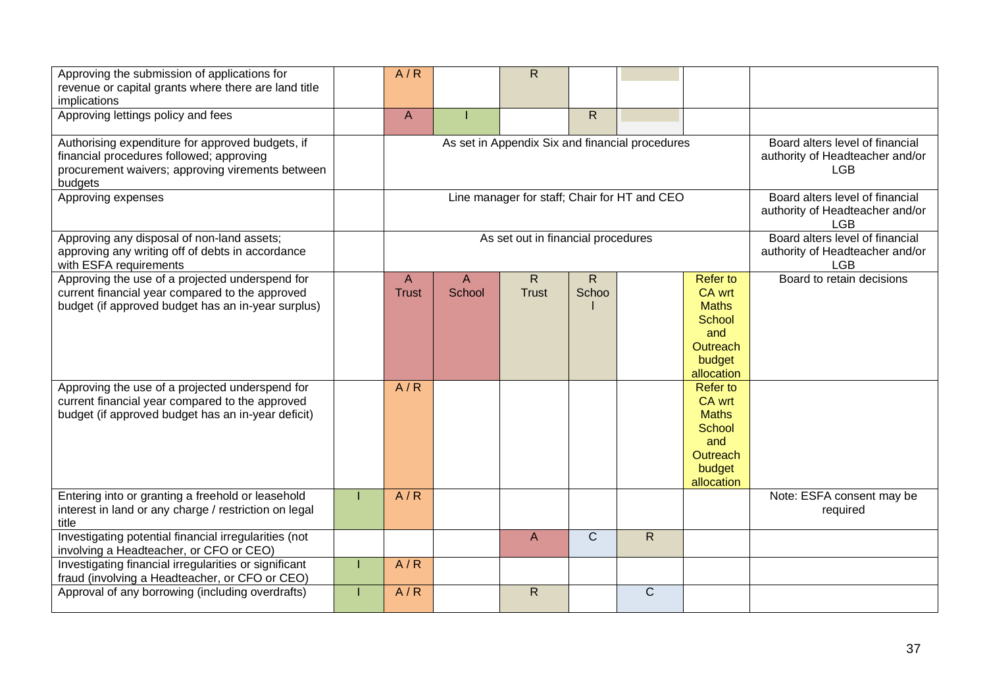| Approving the submission of applications for<br>revenue or capital grants where there are land title<br>implications                                        | A/R                          |             | $\mathsf{R}$                                    |                                                                                  |              |                                                                                                |                                                                                  |
|-------------------------------------------------------------------------------------------------------------------------------------------------------------|------------------------------|-------------|-------------------------------------------------|----------------------------------------------------------------------------------|--------------|------------------------------------------------------------------------------------------------|----------------------------------------------------------------------------------|
| Approving lettings policy and fees                                                                                                                          | A                            |             |                                                 | R.                                                                               |              |                                                                                                |                                                                                  |
| Authorising expenditure for approved budgets, if<br>financial procedures followed; approving<br>procurement waivers; approving virements between<br>budgets |                              |             | As set in Appendix Six and financial procedures | Board alters level of financial<br>authority of Headteacher and/or<br><b>LGB</b> |              |                                                                                                |                                                                                  |
| Approving expenses                                                                                                                                          |                              |             | Line manager for staff; Chair for HT and CEO    |                                                                                  |              |                                                                                                | Board alters level of financial<br>authority of Headteacher and/or<br><b>LGB</b> |
| Approving any disposal of non-land assets;<br>approving any writing off of debts in accordance<br>with ESFA requirements                                    |                              |             | As set out in financial procedures              |                                                                                  |              |                                                                                                | Board alters level of financial<br>authority of Headteacher and/or<br><b>LGB</b> |
| Approving the use of a projected underspend for<br>current financial year compared to the approved<br>budget (if approved budget has an in-year surplus)    | $\mathsf{A}$<br><b>Trust</b> | A<br>School | $\mathsf{R}$<br><b>Trust</b>                    | R.<br>Schoo                                                                      |              | <b>Refer to</b><br>CA wrt<br><b>Maths</b><br>School<br>and<br>Outreach<br>budget<br>allocation | Board to retain decisions                                                        |
| Approving the use of a projected underspend for<br>current financial year compared to the approved<br>budget (if approved budget has an in-year deficit)    | A/R                          |             |                                                 |                                                                                  |              | <b>Refer to</b><br>CA wrt<br><b>Maths</b><br>School<br>and<br>Outreach<br>budget<br>allocation |                                                                                  |
| Entering into or granting a freehold or leasehold<br>interest in land or any charge / restriction on legal<br>title                                         | A/R                          |             |                                                 |                                                                                  |              |                                                                                                | Note: ESFA consent may be<br>required                                            |
| Investigating potential financial irregularities (not<br>involving a Headteacher, or CFO or CEO)                                                            |                              |             | $\overline{A}$                                  | $\mathsf{C}$                                                                     | $\mathsf{R}$ |                                                                                                |                                                                                  |
| Investigating financial irregularities or significant<br>fraud (involving a Headteacher, or CFO or CEO)                                                     | A/R                          |             |                                                 |                                                                                  |              |                                                                                                |                                                                                  |
| Approval of any borrowing (including overdrafts)                                                                                                            | A/R                          |             | $\mathsf{R}$                                    |                                                                                  | $\mathsf{C}$ |                                                                                                |                                                                                  |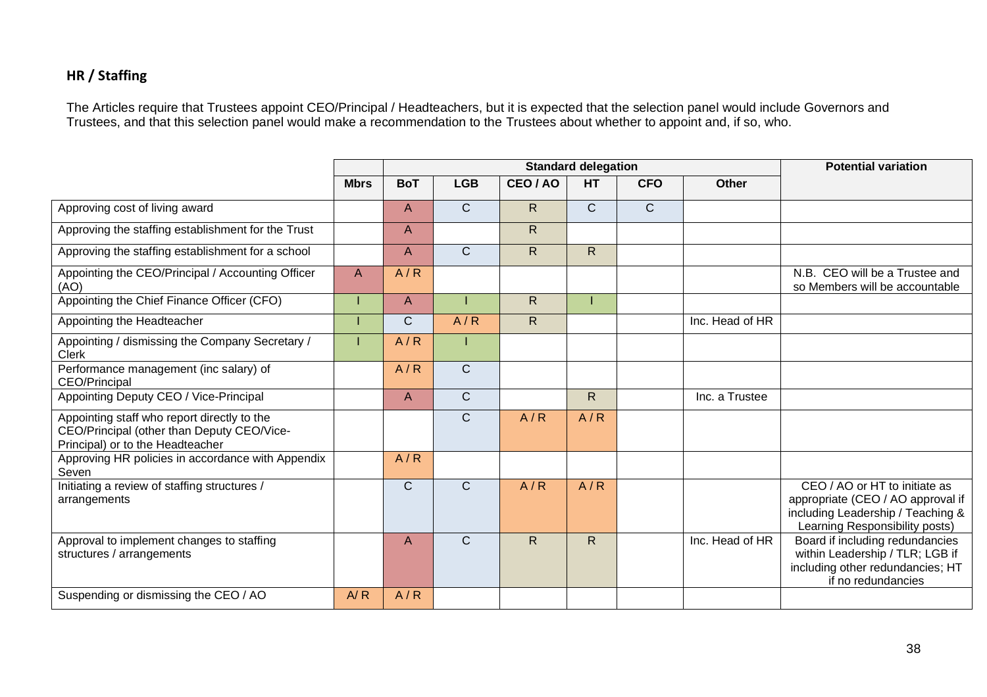# **HR / Staffing**

The Articles require that Trustees appoint CEO/Principal / Headteachers, but it is expected that the selection panel would include Governors and Trustees, and that this selection panel would make a recommendation to the Trustees about whether to appoint and, if so, who.

|                                                                                                                               |             |              |              |              | <b>Standard delegation</b> |              |                 | <b>Potential variation</b>                                                                                                                |
|-------------------------------------------------------------------------------------------------------------------------------|-------------|--------------|--------------|--------------|----------------------------|--------------|-----------------|-------------------------------------------------------------------------------------------------------------------------------------------|
|                                                                                                                               | <b>Mbrs</b> | <b>BoT</b>   | <b>LGB</b>   | CEO / AO     | <b>HT</b>                  | <b>CFO</b>   | <b>Other</b>    |                                                                                                                                           |
| Approving cost of living award                                                                                                |             | A            | $\mathsf{C}$ | $\mathsf{R}$ | $\mathsf{C}$               | $\mathsf{C}$ |                 |                                                                                                                                           |
| Approving the staffing establishment for the Trust                                                                            |             | A            |              | $\mathsf{R}$ |                            |              |                 |                                                                                                                                           |
| Approving the staffing establishment for a school                                                                             |             | A            | $\mathsf{C}$ | R            | R                          |              |                 |                                                                                                                                           |
| Appointing the CEO/Principal / Accounting Officer<br>(AO)                                                                     | A           | A/R          |              |              |                            |              |                 | N.B. CEO will be a Trustee and<br>so Members will be accountable                                                                          |
| Appointing the Chief Finance Officer (CFO)                                                                                    |             | A            |              | $\mathsf{R}$ |                            |              |                 |                                                                                                                                           |
| Appointing the Headteacher                                                                                                    |             | C            | A/R          | $\mathsf{R}$ |                            |              | Inc. Head of HR |                                                                                                                                           |
| Appointing / dismissing the Company Secretary /<br><b>Clerk</b>                                                               |             | A/R          |              |              |                            |              |                 |                                                                                                                                           |
| Performance management (inc salary) of<br><b>CEO/Principal</b>                                                                |             | A/R          | $\mathsf{C}$ |              |                            |              |                 |                                                                                                                                           |
| Appointing Deputy CEO / Vice-Principal                                                                                        |             | A            | $\mathsf{C}$ |              | R                          |              | Inc. a Trustee  |                                                                                                                                           |
| Appointing staff who report directly to the<br>CEO/Principal (other than Deputy CEO/Vice-<br>Principal) or to the Headteacher |             |              | $\mathsf{C}$ | A/R          | A/R                        |              |                 |                                                                                                                                           |
| Approving HR policies in accordance with Appendix<br>Seven                                                                    |             | A/R          |              |              |                            |              |                 |                                                                                                                                           |
| Initiating a review of staffing structures /<br>arrangements                                                                  |             | $\mathsf{C}$ | $\mathsf{C}$ | A/R          | A/R                        |              |                 | CEO / AO or HT to initiate as<br>appropriate (CEO / AO approval if<br>including Leadership / Teaching &<br>Learning Responsibility posts) |
| Approval to implement changes to staffing<br>structures / arrangements                                                        |             | A            | $\mathsf{C}$ | $\mathsf{R}$ | $\mathsf{R}$               |              | Inc. Head of HR | Board if including redundancies<br>within Leadership / TLR; LGB if<br>including other redundancies; HT<br>if no redundancies              |
| Suspending or dismissing the CEO / AO                                                                                         | A/R         | A/R          |              |              |                            |              |                 |                                                                                                                                           |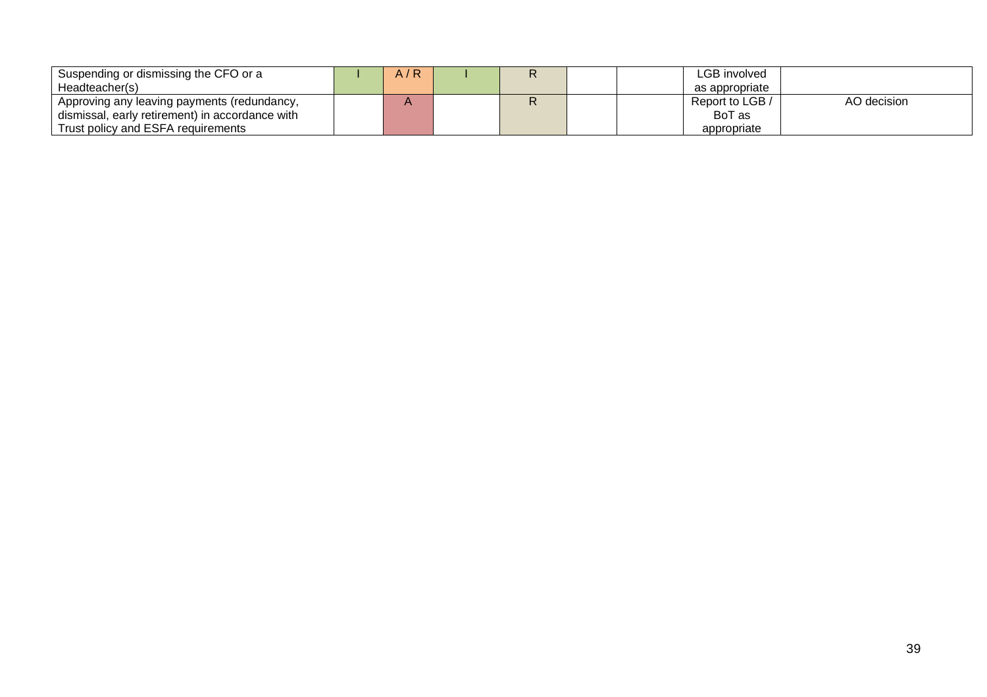| Suspending or dismissing the CFO or a           | A/R |  | LGB involved    |             |
|-------------------------------------------------|-----|--|-----------------|-------------|
| Headteacher(s)                                  |     |  | as appropriate  |             |
| Approving any leaving payments (redundancy,     |     |  | Report to LGB / | AO decision |
| dismissal, early retirement) in accordance with |     |  | BoT as          |             |
| Trust policy and ESFA requirements              |     |  | appropriate     |             |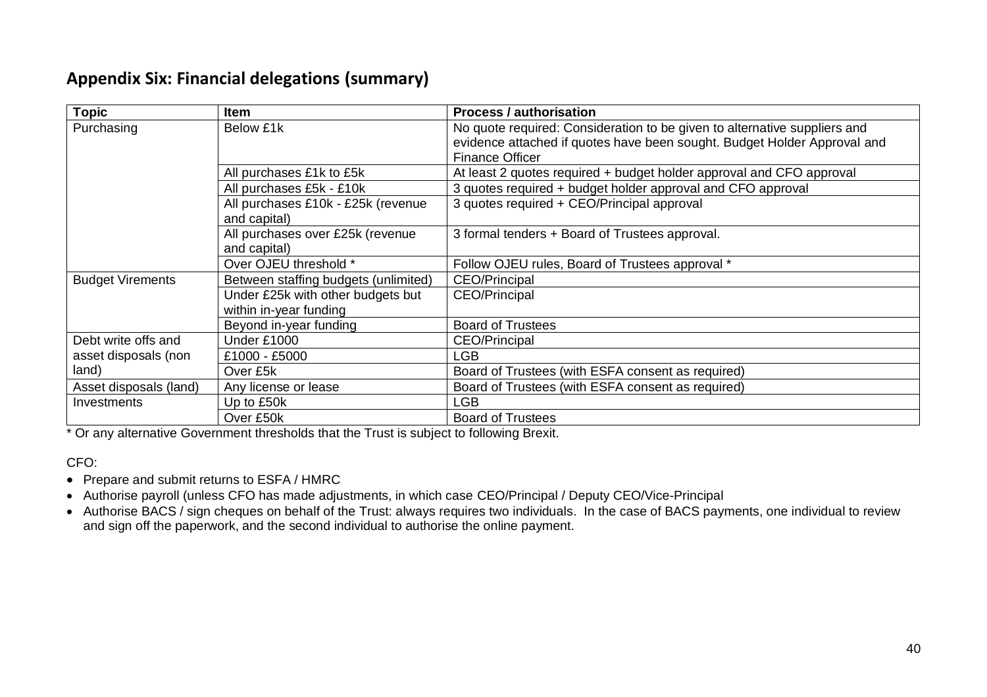# **Appendix Six: Financial delegations (summary)**

| Topic                   | <b>Item</b>                                                 | <b>Process / authorisation</b>                                                                                                                                                  |  |  |  |  |
|-------------------------|-------------------------------------------------------------|---------------------------------------------------------------------------------------------------------------------------------------------------------------------------------|--|--|--|--|
| Purchasing              | Below £1k                                                   | No quote required: Consideration to be given to alternative suppliers and<br>evidence attached if quotes have been sought. Budget Holder Approval and<br><b>Finance Officer</b> |  |  |  |  |
|                         | All purchases £1k to £5k                                    | At least 2 quotes required + budget holder approval and CFO approval                                                                                                            |  |  |  |  |
|                         | All purchases £5k - £10k                                    | 3 quotes required + budget holder approval and CFO approval                                                                                                                     |  |  |  |  |
|                         | All purchases £10k - £25k (revenue<br>and capital)          | 3 quotes required + CEO/Principal approval                                                                                                                                      |  |  |  |  |
|                         | All purchases over £25k (revenue<br>and capital)            | 3 formal tenders + Board of Trustees approval.                                                                                                                                  |  |  |  |  |
|                         | Over OJEU threshold *                                       | Follow OJEU rules, Board of Trustees approval *                                                                                                                                 |  |  |  |  |
| <b>Budget Virements</b> | Between staffing budgets (unlimited)                        | <b>CEO/Principal</b>                                                                                                                                                            |  |  |  |  |
|                         | Under £25k with other budgets but<br>within in-year funding | CEO/Principal                                                                                                                                                                   |  |  |  |  |
|                         | Beyond in-year funding                                      | <b>Board of Trustees</b>                                                                                                                                                        |  |  |  |  |
| Debt write offs and     | Under £1000                                                 | <b>CEO/Principal</b>                                                                                                                                                            |  |  |  |  |
| asset disposals (non    | £1000 - £5000                                               | LGB.                                                                                                                                                                            |  |  |  |  |
| land)                   | Over £5k                                                    | Board of Trustees (with ESFA consent as required)                                                                                                                               |  |  |  |  |
| Asset disposals (land)  | Any license or lease                                        | Board of Trustees (with ESFA consent as required)                                                                                                                               |  |  |  |  |
| Investments             | Up to £50k                                                  | LGB                                                                                                                                                                             |  |  |  |  |
|                         | Over £50k                                                   | <b>Board of Trustees</b>                                                                                                                                                        |  |  |  |  |

\* Or any alternative Government thresholds that the Trust is subject to following Brexit.

CFO:

- Prepare and submit returns to ESFA / HMRC
- Authorise payroll (unless CFO has made adjustments, in which case CEO/Principal / Deputy CEO/Vice-Principal
- Authorise BACS / sign cheques on behalf of the Trust: always requires two individuals. In the case of BACS payments, one individual to review and sign off the paperwork, and the second individual to authorise the online payment.